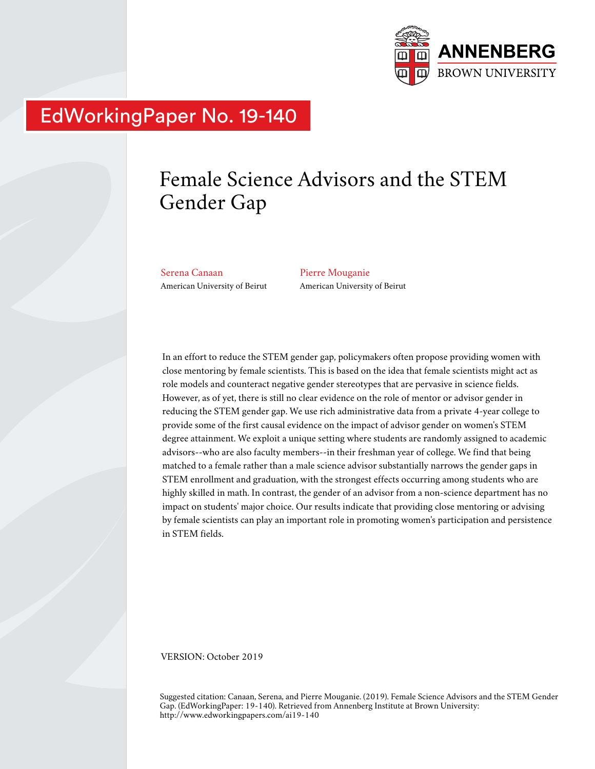

# EdWorkingPaper No. 19-140

# Female Science Advisors and the STEM Gender Gap

Serena Canaan American University of Beirut Pierre Mouganie American University of Beirut

In an effort to reduce the STEM gender gap, policymakers often propose providing women with close mentoring by female scientists. This is based on the idea that female scientists might act as role models and counteract negative gender stereotypes that are pervasive in science fields. However, as of yet, there is still no clear evidence on the role of mentor or advisor gender in reducing the STEM gender gap. We use rich administrative data from a private 4-year college to provide some of the first causal evidence on the impact of advisor gender on women's STEM degree attainment. We exploit a unique setting where students are randomly assigned to academic advisors--who are also faculty members--in their freshman year of college. We find that being matched to a female rather than a male science advisor substantially narrows the gender gaps in STEM enrollment and graduation, with the strongest effects occurring among students who are highly skilled in math. In contrast, the gender of an advisor from a non-science department has no impact on students' major choice. Our results indicate that providing close mentoring or advising by female scientists can play an important role in promoting women's participation and persistence in STEM fields.

VERSION: October 2019

Suggested citation: Canaan, Serena, and Pierre Mouganie. (2019). Female Science Advisors and the STEM Gender Gap. (EdWorkingPaper: 19-140). Retrieved from Annenberg Institute at Brown University: http://www.edworkingpapers.com/ai19-140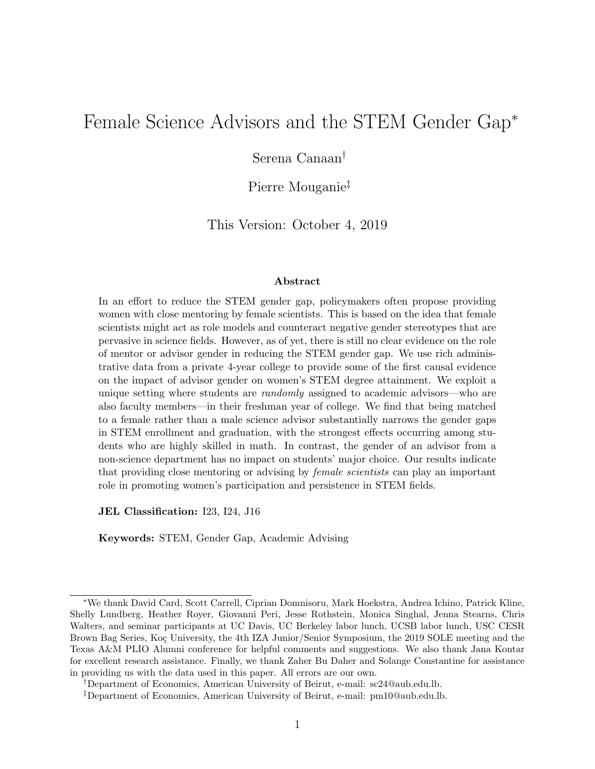# Female Science Advisors and the STEM Gender Gap<sup>∗</sup>

Serena Canaan†

Pierre Mouganie‡

This Version: October 4, 2019

#### Abstract

In an effort to reduce the STEM gender gap, policymakers often propose providing women with close mentoring by female scientists. This is based on the idea that female scientists might act as role models and counteract negative gender stereotypes that are pervasive in science fields. However, as of yet, there is still no clear evidence on the role of mentor or advisor gender in reducing the STEM gender gap. We use rich administrative data from a private 4-year college to provide some of the first causal evidence on the impact of advisor gender on women's STEM degree attainment. We exploit a unique setting where students are *randomly* assigned to academic advisors—who are also faculty members—in their freshman year of college. We find that being matched to a female rather than a male science advisor substantially narrows the gender gaps in STEM enrollment and graduation, with the strongest effects occurring among students who are highly skilled in math. In contrast, the gender of an advisor from a non-science department has no impact on students' major choice. Our results indicate that providing close mentoring or advising by *female scientists* can play an important role in promoting women's participation and persistence in STEM fields.

JEL Classification: I23, I24, J16

Keywords: STEM, Gender Gap, Academic Advising

<sup>∗</sup>We thank David Card, Scott Carrell, Ciprian Domnisoru, Mark Hoekstra, Andrea Ichino, Patrick Kline, Shelly Lundberg, Heather Royer, Giovanni Peri, Jesse Rothstein, Monica Singhal, Jenna Stearns, Chris Walters, and seminar participants at UC Davis, UC Berkeley labor lunch, UCSB labor lunch, USC CESR Brown Bag Series, Koç University, the 4th IZA Junior/Senior Symposium, the 2019 SOLE meeting and the Texas A&M PLIO Alumni conference for helpful comments and suggestions. We also thank Jana Kontar for excellent research assistance. Finally, we thank Zaher Bu Daher and Solange Constantine for assistance in providing us with the data used in this paper. All errors are our own.

<sup>†</sup>Department of Economics, American University of Beirut, e-mail: sc24@aub.edu.lb.

<sup>‡</sup>Department of Economics, American University of Beirut, e-mail: pm10@aub.edu.lb.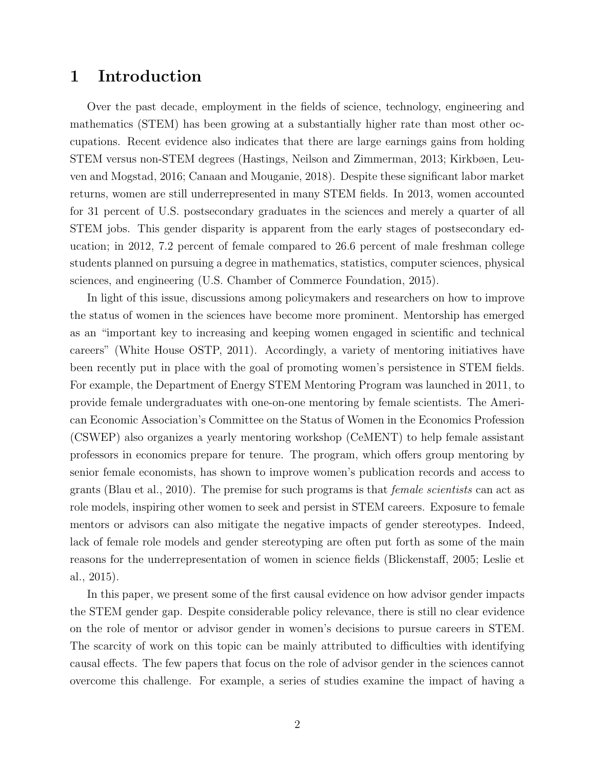### 1 Introduction

Over the past decade, employment in the fields of science, technology, engineering and mathematics (STEM) has been growing at a substantially higher rate than most other occupations. Recent evidence also indicates that there are large earnings gains from holding STEM versus non-STEM degrees (Hastings, Neilson and Zimmerman, 2013; Kirkbøen, Leuven and Mogstad, 2016; Canaan and Mouganie, 2018). Despite these significant labor market returns, women are still underrepresented in many STEM fields. In 2013, women accounted for 31 percent of U.S. postsecondary graduates in the sciences and merely a quarter of all STEM jobs. This gender disparity is apparent from the early stages of postsecondary education; in 2012, 7.2 percent of female compared to 26.6 percent of male freshman college students planned on pursuing a degree in mathematics, statistics, computer sciences, physical sciences, and engineering (U.S. Chamber of Commerce Foundation, 2015).

In light of this issue, discussions among policymakers and researchers on how to improve the status of women in the sciences have become more prominent. Mentorship has emerged as an "important key to increasing and keeping women engaged in scientific and technical careers" (White House OSTP, 2011). Accordingly, a variety of mentoring initiatives have been recently put in place with the goal of promoting women's persistence in STEM fields. For example, the Department of Energy STEM Mentoring Program was launched in 2011, to provide female undergraduates with one-on-one mentoring by female scientists. The American Economic Association's Committee on the Status of Women in the Economics Profession (CSWEP) also organizes a yearly mentoring workshop (CeMENT) to help female assistant professors in economics prepare for tenure. The program, which offers group mentoring by senior female economists, has shown to improve women's publication records and access to grants (Blau et al., 2010). The premise for such programs is that *female scientists* can act as role models, inspiring other women to seek and persist in STEM careers. Exposure to female mentors or advisors can also mitigate the negative impacts of gender stereotypes. Indeed, lack of female role models and gender stereotyping are often put forth as some of the main reasons for the underrepresentation of women in science fields (Blickenstaff, 2005; Leslie et al., 2015).

In this paper, we present some of the first causal evidence on how advisor gender impacts the STEM gender gap. Despite considerable policy relevance, there is still no clear evidence on the role of mentor or advisor gender in women's decisions to pursue careers in STEM. The scarcity of work on this topic can be mainly attributed to difficulties with identifying causal effects. The few papers that focus on the role of advisor gender in the sciences cannot overcome this challenge. For example, a series of studies examine the impact of having a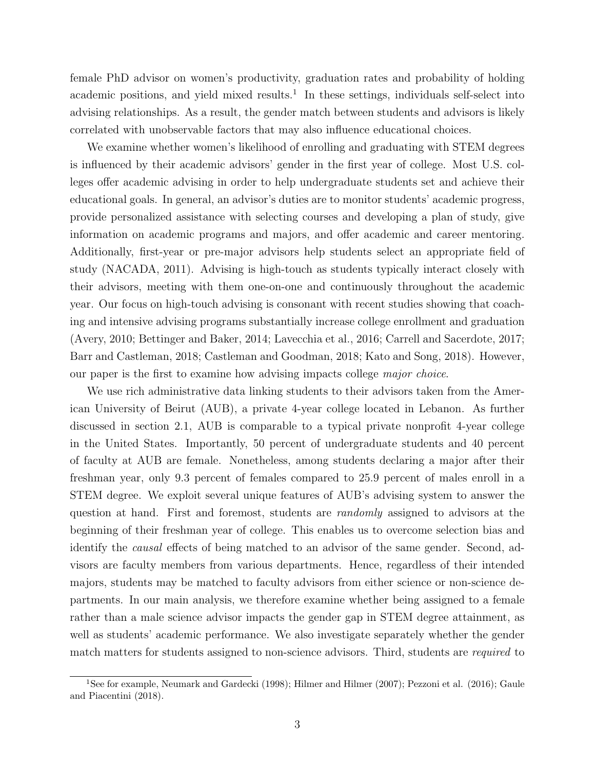female PhD advisor on women's productivity, graduation rates and probability of holding academic positions, and yield mixed results.<sup>1</sup> In these settings, individuals self-select into advising relationships. As a result, the gender match between students and advisors is likely correlated with unobservable factors that may also influence educational choices.

We examine whether women's likelihood of enrolling and graduating with STEM degrees is influenced by their academic advisors' gender in the first year of college. Most U.S. colleges offer academic advising in order to help undergraduate students set and achieve their educational goals. In general, an advisor's duties are to monitor students' academic progress, provide personalized assistance with selecting courses and developing a plan of study, give information on academic programs and majors, and offer academic and career mentoring. Additionally, first-year or pre-major advisors help students select an appropriate field of study (NACADA, 2011). Advising is high-touch as students typically interact closely with their advisors, meeting with them one-on-one and continuously throughout the academic year. Our focus on high-touch advising is consonant with recent studies showing that coaching and intensive advising programs substantially increase college enrollment and graduation (Avery, 2010; Bettinger and Baker, 2014; Lavecchia et al., 2016; Carrell and Sacerdote, 2017; Barr and Castleman, 2018; Castleman and Goodman, 2018; Kato and Song, 2018). However, our paper is the first to examine how advising impacts college major choice.

We use rich administrative data linking students to their advisors taken from the American University of Beirut (AUB), a private 4-year college located in Lebanon. As further discussed in section 2.1, AUB is comparable to a typical private nonprofit 4-year college in the United States. Importantly, 50 percent of undergraduate students and 40 percent of faculty at AUB are female. Nonetheless, among students declaring a major after their freshman year, only 9.3 percent of females compared to 25.9 percent of males enroll in a STEM degree. We exploit several unique features of AUB's advising system to answer the question at hand. First and foremost, students are randomly assigned to advisors at the beginning of their freshman year of college. This enables us to overcome selection bias and identify the causal effects of being matched to an advisor of the same gender. Second, advisors are faculty members from various departments. Hence, regardless of their intended majors, students may be matched to faculty advisors from either science or non-science departments. In our main analysis, we therefore examine whether being assigned to a female rather than a male science advisor impacts the gender gap in STEM degree attainment, as well as students' academic performance. We also investigate separately whether the gender match matters for students assigned to non-science advisors. Third, students are required to

<sup>1</sup>See for example, Neumark and Gardecki (1998); Hilmer and Hilmer (2007); Pezzoni et al. (2016); Gaule and Piacentini (2018).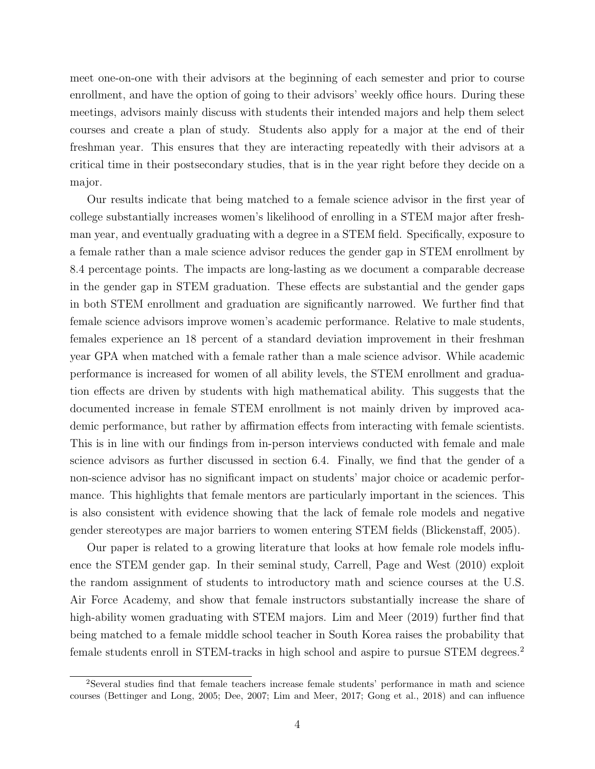meet one-on-one with their advisors at the beginning of each semester and prior to course enrollment, and have the option of going to their advisors' weekly office hours. During these meetings, advisors mainly discuss with students their intended majors and help them select courses and create a plan of study. Students also apply for a major at the end of their freshman year. This ensures that they are interacting repeatedly with their advisors at a critical time in their postsecondary studies, that is in the year right before they decide on a major.

Our results indicate that being matched to a female science advisor in the first year of college substantially increases women's likelihood of enrolling in a STEM major after freshman year, and eventually graduating with a degree in a STEM field. Specifically, exposure to a female rather than a male science advisor reduces the gender gap in STEM enrollment by 8.4 percentage points. The impacts are long-lasting as we document a comparable decrease in the gender gap in STEM graduation. These effects are substantial and the gender gaps in both STEM enrollment and graduation are significantly narrowed. We further find that female science advisors improve women's academic performance. Relative to male students, females experience an 18 percent of a standard deviation improvement in their freshman year GPA when matched with a female rather than a male science advisor. While academic performance is increased for women of all ability levels, the STEM enrollment and graduation effects are driven by students with high mathematical ability. This suggests that the documented increase in female STEM enrollment is not mainly driven by improved academic performance, but rather by affirmation effects from interacting with female scientists. This is in line with our findings from in-person interviews conducted with female and male science advisors as further discussed in section 6.4. Finally, we find that the gender of a non-science advisor has no significant impact on students' major choice or academic performance. This highlights that female mentors are particularly important in the sciences. This is also consistent with evidence showing that the lack of female role models and negative gender stereotypes are major barriers to women entering STEM fields (Blickenstaff, 2005).

Our paper is related to a growing literature that looks at how female role models influence the STEM gender gap. In their seminal study, Carrell, Page and West (2010) exploit the random assignment of students to introductory math and science courses at the U.S. Air Force Academy, and show that female instructors substantially increase the share of high-ability women graduating with STEM majors. Lim and Meer (2019) further find that being matched to a female middle school teacher in South Korea raises the probability that female students enroll in STEM-tracks in high school and aspire to pursue STEM degrees.<sup>2</sup>

<sup>2</sup>Several studies find that female teachers increase female students' performance in math and science courses (Bettinger and Long, 2005; Dee, 2007; Lim and Meer, 2017; Gong et al., 2018) and can influence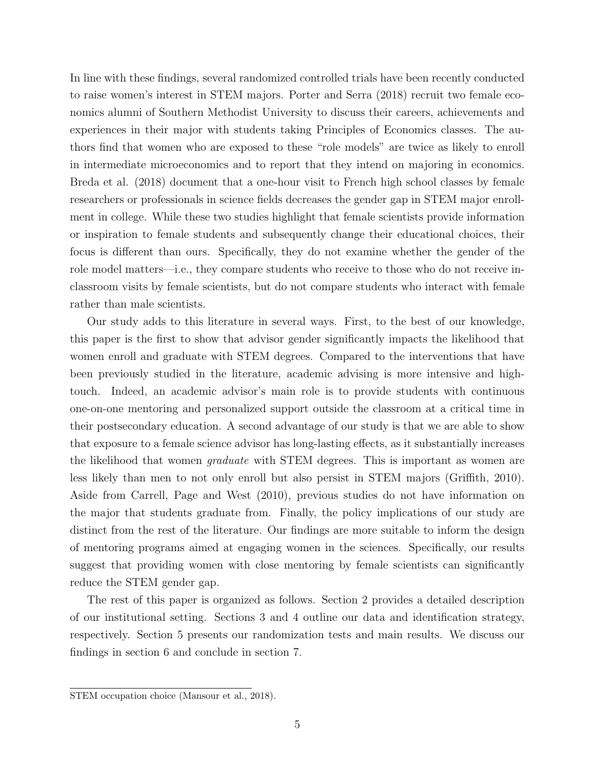In line with these findings, several randomized controlled trials have been recently conducted to raise women's interest in STEM majors. Porter and Serra (2018) recruit two female economics alumni of Southern Methodist University to discuss their careers, achievements and experiences in their major with students taking Principles of Economics classes. The authors find that women who are exposed to these "role models" are twice as likely to enroll in intermediate microeconomics and to report that they intend on majoring in economics. Breda et al. (2018) document that a one-hour visit to French high school classes by female researchers or professionals in science fields decreases the gender gap in STEM major enrollment in college. While these two studies highlight that female scientists provide information or inspiration to female students and subsequently change their educational choices, their focus is different than ours. Specifically, they do not examine whether the gender of the role model matters—i.e., they compare students who receive to those who do not receive inclassroom visits by female scientists, but do not compare students who interact with female rather than male scientists.

Our study adds to this literature in several ways. First, to the best of our knowledge, this paper is the first to show that advisor gender significantly impacts the likelihood that women enroll and graduate with STEM degrees. Compared to the interventions that have been previously studied in the literature, academic advising is more intensive and hightouch. Indeed, an academic advisor's main role is to provide students with continuous one-on-one mentoring and personalized support outside the classroom at a critical time in their postsecondary education. A second advantage of our study is that we are able to show that exposure to a female science advisor has long-lasting effects, as it substantially increases the likelihood that women *graduate* with STEM degrees. This is important as women are less likely than men to not only enroll but also persist in STEM majors (Griffith, 2010). Aside from Carrell, Page and West (2010), previous studies do not have information on the major that students graduate from. Finally, the policy implications of our study are distinct from the rest of the literature. Our findings are more suitable to inform the design of mentoring programs aimed at engaging women in the sciences. Specifically, our results suggest that providing women with close mentoring by female scientists can significantly reduce the STEM gender gap.

The rest of this paper is organized as follows. Section 2 provides a detailed description of our institutional setting. Sections 3 and 4 outline our data and identification strategy, respectively. Section 5 presents our randomization tests and main results. We discuss our findings in section 6 and conclude in section 7.

STEM occupation choice (Mansour et al., 2018).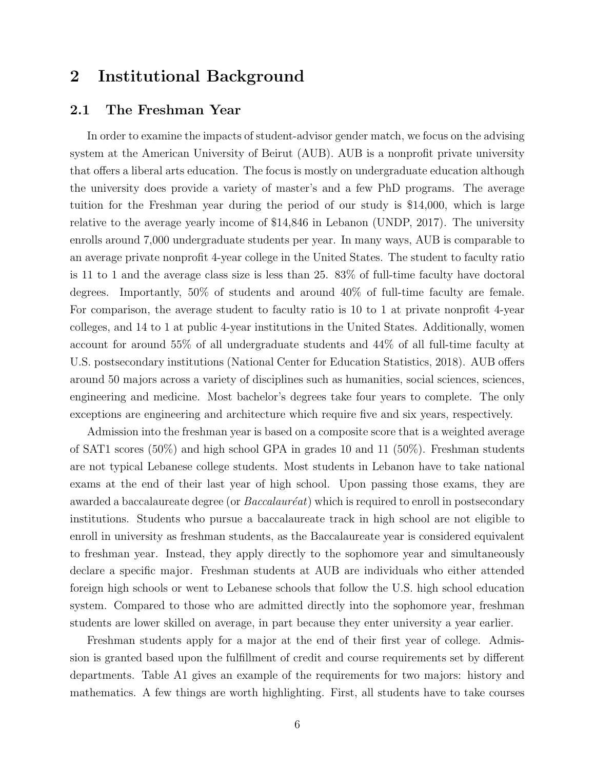### 2 Institutional Background

#### 2.1 The Freshman Year

In order to examine the impacts of student-advisor gender match, we focus on the advising system at the American University of Beirut (AUB). AUB is a nonprofit private university that offers a liberal arts education. The focus is mostly on undergraduate education although the university does provide a variety of master's and a few PhD programs. The average tuition for the Freshman year during the period of our study is \$14,000, which is large relative to the average yearly income of \$14,846 in Lebanon (UNDP, 2017). The university enrolls around 7,000 undergraduate students per year. In many ways, AUB is comparable to an average private nonprofit 4-year college in the United States. The student to faculty ratio is 11 to 1 and the average class size is less than 25. 83% of full-time faculty have doctoral degrees. Importantly, 50% of students and around 40% of full-time faculty are female. For comparison, the average student to faculty ratio is 10 to 1 at private nonprofit 4-year colleges, and 14 to 1 at public 4-year institutions in the United States. Additionally, women account for around 55% of all undergraduate students and 44% of all full-time faculty at U.S. postsecondary institutions (National Center for Education Statistics, 2018). AUB offers around 50 majors across a variety of disciplines such as humanities, social sciences, sciences, engineering and medicine. Most bachelor's degrees take four years to complete. The only exceptions are engineering and architecture which require five and six years, respectively.

Admission into the freshman year is based on a composite score that is a weighted average of SAT1 scores (50%) and high school GPA in grades 10 and 11 (50%). Freshman students are not typical Lebanese college students. Most students in Lebanon have to take national exams at the end of their last year of high school. Upon passing those exams, they are awarded a baccalaureate degree (or  $Baccalauréat$ ) which is required to enroll in postsecondary institutions. Students who pursue a baccalaureate track in high school are not eligible to enroll in university as freshman students, as the Baccalaureate year is considered equivalent to freshman year. Instead, they apply directly to the sophomore year and simultaneously declare a specific major. Freshman students at AUB are individuals who either attended foreign high schools or went to Lebanese schools that follow the U.S. high school education system. Compared to those who are admitted directly into the sophomore year, freshman students are lower skilled on average, in part because they enter university a year earlier.

Freshman students apply for a major at the end of their first year of college. Admission is granted based upon the fulfillment of credit and course requirements set by different departments. Table A1 gives an example of the requirements for two majors: history and mathematics. A few things are worth highlighting. First, all students have to take courses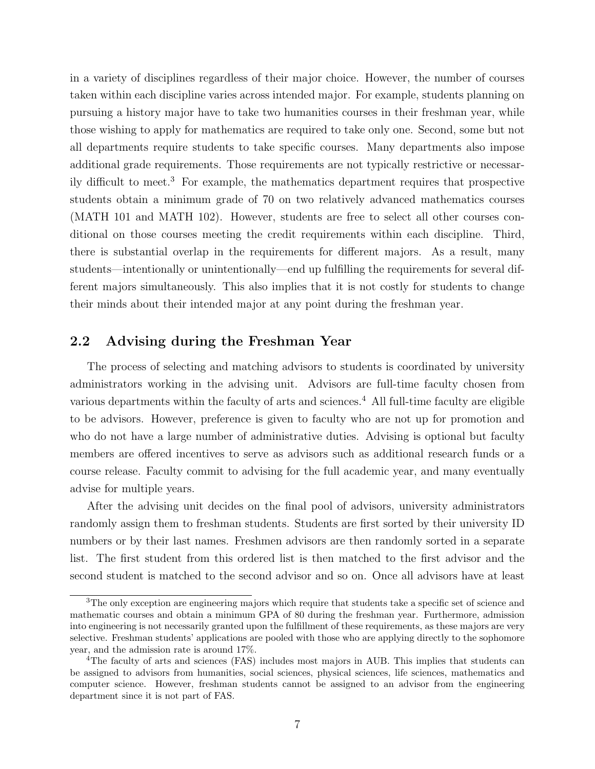in a variety of disciplines regardless of their major choice. However, the number of courses taken within each discipline varies across intended major. For example, students planning on pursuing a history major have to take two humanities courses in their freshman year, while those wishing to apply for mathematics are required to take only one. Second, some but not all departments require students to take specific courses. Many departments also impose additional grade requirements. Those requirements are not typically restrictive or necessarily difficult to meet.<sup>3</sup> For example, the mathematics department requires that prospective students obtain a minimum grade of 70 on two relatively advanced mathematics courses (MATH 101 and MATH 102). However, students are free to select all other courses conditional on those courses meeting the credit requirements within each discipline. Third, there is substantial overlap in the requirements for different majors. As a result, many students—intentionally or unintentionally—end up fulfilling the requirements for several different majors simultaneously. This also implies that it is not costly for students to change their minds about their intended major at any point during the freshman year.

#### 2.2 Advising during the Freshman Year

The process of selecting and matching advisors to students is coordinated by university administrators working in the advising unit. Advisors are full-time faculty chosen from various departments within the faculty of arts and sciences.<sup>4</sup> All full-time faculty are eligible to be advisors. However, preference is given to faculty who are not up for promotion and who do not have a large number of administrative duties. Advising is optional but faculty members are offered incentives to serve as advisors such as additional research funds or a course release. Faculty commit to advising for the full academic year, and many eventually advise for multiple years.

After the advising unit decides on the final pool of advisors, university administrators randomly assign them to freshman students. Students are first sorted by their university ID numbers or by their last names. Freshmen advisors are then randomly sorted in a separate list. The first student from this ordered list is then matched to the first advisor and the second student is matched to the second advisor and so on. Once all advisors have at least

<sup>&</sup>lt;sup>3</sup>The only exception are engineering majors which require that students take a specific set of science and mathematic courses and obtain a minimum GPA of 80 during the freshman year. Furthermore, admission into engineering is not necessarily granted upon the fulfillment of these requirements, as these majors are very selective. Freshman students' applications are pooled with those who are applying directly to the sophomore year, and the admission rate is around 17%.

<sup>4</sup>The faculty of arts and sciences (FAS) includes most majors in AUB. This implies that students can be assigned to advisors from humanities, social sciences, physical sciences, life sciences, mathematics and computer science. However, freshman students cannot be assigned to an advisor from the engineering department since it is not part of FAS.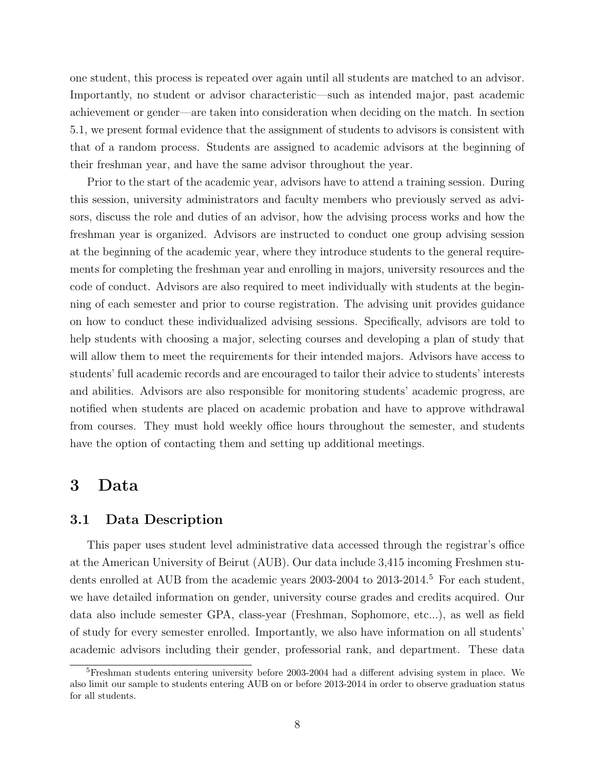one student, this process is repeated over again until all students are matched to an advisor. Importantly, no student or advisor characteristic—such as intended major, past academic achievement or gender—are taken into consideration when deciding on the match. In section 5.1, we present formal evidence that the assignment of students to advisors is consistent with that of a random process. Students are assigned to academic advisors at the beginning of their freshman year, and have the same advisor throughout the year.

Prior to the start of the academic year, advisors have to attend a training session. During this session, university administrators and faculty members who previously served as advisors, discuss the role and duties of an advisor, how the advising process works and how the freshman year is organized. Advisors are instructed to conduct one group advising session at the beginning of the academic year, where they introduce students to the general requirements for completing the freshman year and enrolling in majors, university resources and the code of conduct. Advisors are also required to meet individually with students at the beginning of each semester and prior to course registration. The advising unit provides guidance on how to conduct these individualized advising sessions. Specifically, advisors are told to help students with choosing a major, selecting courses and developing a plan of study that will allow them to meet the requirements for their intended majors. Advisors have access to students' full academic records and are encouraged to tailor their advice to students' interests and abilities. Advisors are also responsible for monitoring students' academic progress, are notified when students are placed on academic probation and have to approve withdrawal from courses. They must hold weekly office hours throughout the semester, and students have the option of contacting them and setting up additional meetings.

### 3 Data

#### 3.1 Data Description

This paper uses student level administrative data accessed through the registrar's office at the American University of Beirut (AUB). Our data include 3,415 incoming Freshmen students enrolled at AUB from the academic years 2003-2004 to 2013-2014.<sup>5</sup> For each student, we have detailed information on gender, university course grades and credits acquired. Our data also include semester GPA, class-year (Freshman, Sophomore, etc...), as well as field of study for every semester enrolled. Importantly, we also have information on all students' academic advisors including their gender, professorial rank, and department. These data

<sup>5</sup>Freshman students entering university before 2003-2004 had a different advising system in place. We also limit our sample to students entering AUB on or before 2013-2014 in order to observe graduation status for all students.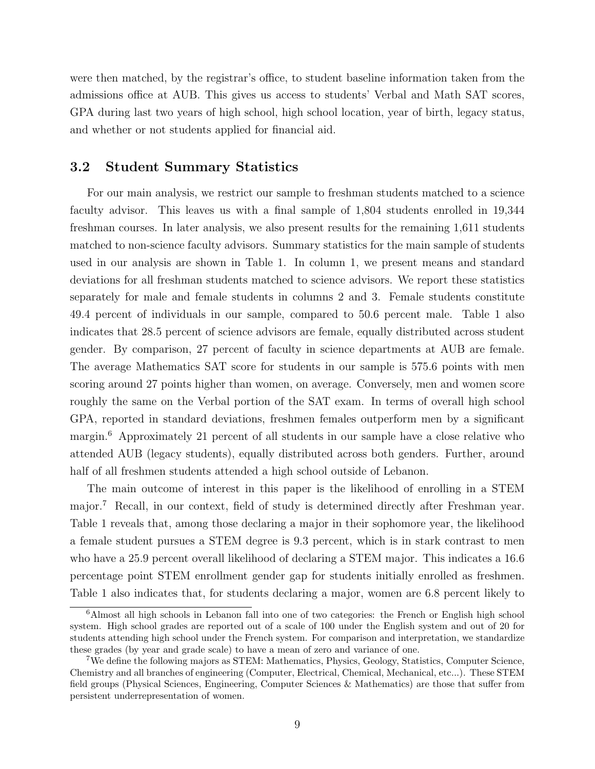were then matched, by the registrar's office, to student baseline information taken from the admissions office at AUB. This gives us access to students' Verbal and Math SAT scores, GPA during last two years of high school, high school location, year of birth, legacy status, and whether or not students applied for financial aid.

#### 3.2 Student Summary Statistics

For our main analysis, we restrict our sample to freshman students matched to a science faculty advisor. This leaves us with a final sample of 1,804 students enrolled in 19,344 freshman courses. In later analysis, we also present results for the remaining 1,611 students matched to non-science faculty advisors. Summary statistics for the main sample of students used in our analysis are shown in Table 1. In column 1, we present means and standard deviations for all freshman students matched to science advisors. We report these statistics separately for male and female students in columns 2 and 3. Female students constitute 49.4 percent of individuals in our sample, compared to 50.6 percent male. Table 1 also indicates that 28.5 percent of science advisors are female, equally distributed across student gender. By comparison, 27 percent of faculty in science departments at AUB are female. The average Mathematics SAT score for students in our sample is 575.6 points with men scoring around 27 points higher than women, on average. Conversely, men and women score roughly the same on the Verbal portion of the SAT exam. In terms of overall high school GPA, reported in standard deviations, freshmen females outperform men by a significant margin.<sup>6</sup> Approximately 21 percent of all students in our sample have a close relative who attended AUB (legacy students), equally distributed across both genders. Further, around half of all freshmen students attended a high school outside of Lebanon.

The main outcome of interest in this paper is the likelihood of enrolling in a STEM major.<sup>7</sup> Recall, in our context, field of study is determined directly after Freshman year. Table 1 reveals that, among those declaring a major in their sophomore year, the likelihood a female student pursues a STEM degree is 9.3 percent, which is in stark contrast to men who have a 25.9 percent overall likelihood of declaring a STEM major. This indicates a 16.6 percentage point STEM enrollment gender gap for students initially enrolled as freshmen. Table 1 also indicates that, for students declaring a major, women are 6.8 percent likely to

<sup>6</sup>Almost all high schools in Lebanon fall into one of two categories: the French or English high school system. High school grades are reported out of a scale of 100 under the English system and out of 20 for students attending high school under the French system. For comparison and interpretation, we standardize these grades (by year and grade scale) to have a mean of zero and variance of one.

<sup>7</sup>We define the following majors as STEM: Mathematics, Physics, Geology, Statistics, Computer Science, Chemistry and all branches of engineering (Computer, Electrical, Chemical, Mechanical, etc...). These STEM field groups (Physical Sciences, Engineering, Computer Sciences & Mathematics) are those that suffer from persistent underrepresentation of women.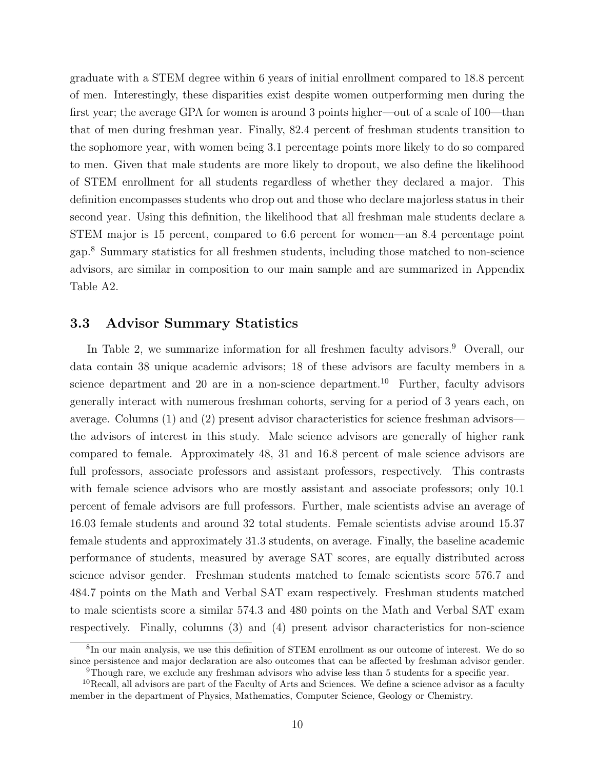graduate with a STEM degree within 6 years of initial enrollment compared to 18.8 percent of men. Interestingly, these disparities exist despite women outperforming men during the first year; the average GPA for women is around 3 points higher—out of a scale of 100—than that of men during freshman year. Finally, 82.4 percent of freshman students transition to the sophomore year, with women being 3.1 percentage points more likely to do so compared to men. Given that male students are more likely to dropout, we also define the likelihood of STEM enrollment for all students regardless of whether they declared a major. This definition encompasses students who drop out and those who declare majorless status in their second year. Using this definition, the likelihood that all freshman male students declare a STEM major is 15 percent, compared to 6.6 percent for women—an 8.4 percentage point gap.<sup>8</sup> Summary statistics for all freshmen students, including those matched to non-science advisors, are similar in composition to our main sample and are summarized in Appendix Table A2.

#### 3.3 Advisor Summary Statistics

In Table 2, we summarize information for all freshmen faculty advisors.<sup>9</sup> Overall, our data contain 38 unique academic advisors; 18 of these advisors are faculty members in a science department and  $20$  are in a non-science department.<sup>10</sup> Further, faculty advisors generally interact with numerous freshman cohorts, serving for a period of 3 years each, on average. Columns (1) and (2) present advisor characteristics for science freshman advisors the advisors of interest in this study. Male science advisors are generally of higher rank compared to female. Approximately 48, 31 and 16.8 percent of male science advisors are full professors, associate professors and assistant professors, respectively. This contrasts with female science advisors who are mostly assistant and associate professors; only 10.1 percent of female advisors are full professors. Further, male scientists advise an average of 16.03 female students and around 32 total students. Female scientists advise around 15.37 female students and approximately 31.3 students, on average. Finally, the baseline academic performance of students, measured by average SAT scores, are equally distributed across science advisor gender. Freshman students matched to female scientists score 576.7 and 484.7 points on the Math and Verbal SAT exam respectively. Freshman students matched to male scientists score a similar 574.3 and 480 points on the Math and Verbal SAT exam respectively. Finally, columns (3) and (4) present advisor characteristics for non-science

<sup>8</sup> In our main analysis, we use this definition of STEM enrollment as our outcome of interest. We do so since persistence and major declaration are also outcomes that can be affected by freshman advisor gender. <sup>9</sup>Though rare, we exclude any freshman advisors who advise less than 5 students for a specific year.

<sup>&</sup>lt;sup>10</sup>Recall, all advisors are part of the Faculty of Arts and Sciences. We define a science advisor as a faculty member in the department of Physics, Mathematics, Computer Science, Geology or Chemistry.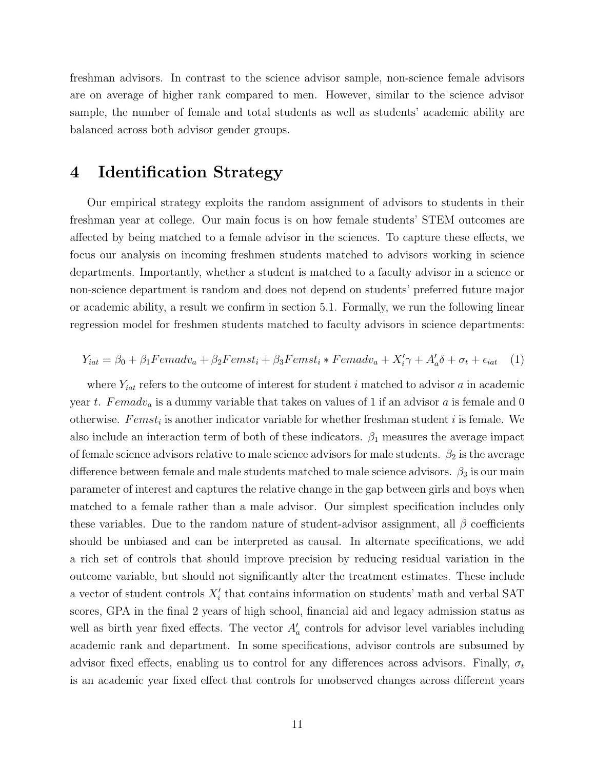freshman advisors. In contrast to the science advisor sample, non-science female advisors are on average of higher rank compared to men. However, similar to the science advisor sample, the number of female and total students as well as students' academic ability are balanced across both advisor gender groups.

### 4 Identification Strategy

Our empirical strategy exploits the random assignment of advisors to students in their freshman year at college. Our main focus is on how female students' STEM outcomes are affected by being matched to a female advisor in the sciences. To capture these effects, we focus our analysis on incoming freshmen students matched to advisors working in science departments. Importantly, whether a student is matched to a faculty advisor in a science or non-science department is random and does not depend on students' preferred future major or academic ability, a result we confirm in section 5.1. Formally, we run the following linear regression model for freshmen students matched to faculty advisors in science departments:

$$
Y_{iat} = \beta_0 + \beta_1 Female_u + \beta_2Femst_i + \beta_3Femst_i * Femadv_a + X'_i\gamma + A'_a\delta + \sigma_t + \epsilon_{iat} \quad (1)
$$

where  $Y_{iat}$  refers to the outcome of interest for student i matched to advisor a in academic year t. Femadv<sub>a</sub> is a dummy variable that takes on values of 1 if an advisor a is female and 0 otherwise.  $Femst_i$  is another indicator variable for whether freshman student i is female. We also include an interaction term of both of these indicators.  $\beta_1$  measures the average impact of female science advisors relative to male science advisors for male students.  $\beta_2$  is the average difference between female and male students matched to male science advisors.  $\beta_3$  is our main parameter of interest and captures the relative change in the gap between girls and boys when matched to a female rather than a male advisor. Our simplest specification includes only these variables. Due to the random nature of student-advisor assignment, all  $\beta$  coefficients should be unbiased and can be interpreted as causal. In alternate specifications, we add a rich set of controls that should improve precision by reducing residual variation in the outcome variable, but should not significantly alter the treatment estimates. These include a vector of student controls  $X_i'$  that contains information on students' math and verbal SAT scores, GPA in the final 2 years of high school, financial aid and legacy admission status as well as birth year fixed effects. The vector  $A'_{a}$  controls for advisor level variables including academic rank and department. In some specifications, advisor controls are subsumed by advisor fixed effects, enabling us to control for any differences across advisors. Finally,  $\sigma_t$ is an academic year fixed effect that controls for unobserved changes across different years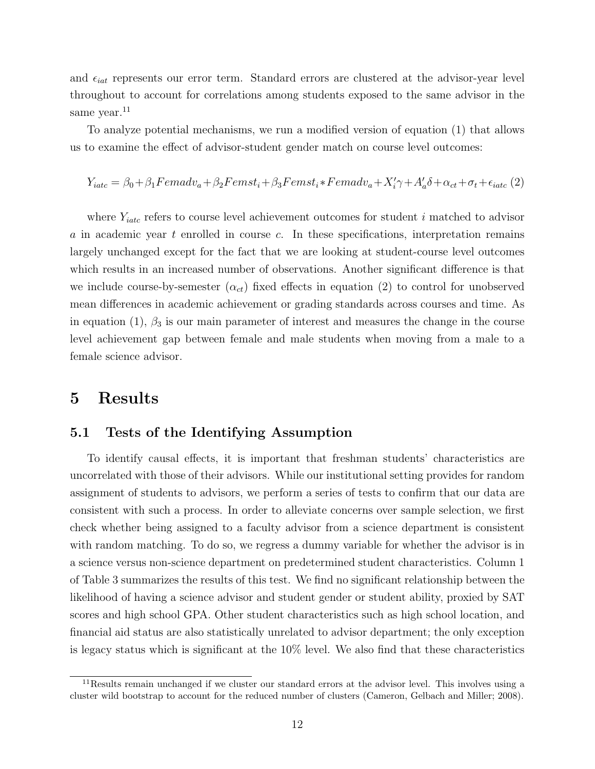and  $\epsilon_{iat}$  represents our error term. Standard errors are clustered at the advisor-year level throughout to account for correlations among students exposed to the same advisor in the same year.<sup>11</sup>

To analyze potential mechanisms, we run a modified version of equation (1) that allows us to examine the effect of advisor-student gender match on course level outcomes:

$$
Y_{iate} = \beta_0 + \beta_1 Female_u + \beta_2 Fermst_i + \beta_3 Fermst_i * Female_u + X'_i \gamma + A'_a \delta + \alpha_{ct} + \sigma_t + \epsilon_{iate} (2)
$$

where  $Y_{iate}$  refers to course level achievement outcomes for student i matched to advisor  $a$  in academic year  $t$  enrolled in course  $c$ . In these specifications, interpretation remains largely unchanged except for the fact that we are looking at student-course level outcomes which results in an increased number of observations. Another significant difference is that we include course-by-semester  $(\alpha_{ct})$  fixed effects in equation (2) to control for unobserved mean differences in academic achievement or grading standards across courses and time. As in equation (1),  $\beta_3$  is our main parameter of interest and measures the change in the course level achievement gap between female and male students when moving from a male to a female science advisor.

### 5 Results

#### 5.1 Tests of the Identifying Assumption

To identify causal effects, it is important that freshman students' characteristics are uncorrelated with those of their advisors. While our institutional setting provides for random assignment of students to advisors, we perform a series of tests to confirm that our data are consistent with such a process. In order to alleviate concerns over sample selection, we first check whether being assigned to a faculty advisor from a science department is consistent with random matching. To do so, we regress a dummy variable for whether the advisor is in a science versus non-science department on predetermined student characteristics. Column 1 of Table 3 summarizes the results of this test. We find no significant relationship between the likelihood of having a science advisor and student gender or student ability, proxied by SAT scores and high school GPA. Other student characteristics such as high school location, and financial aid status are also statistically unrelated to advisor department; the only exception is legacy status which is significant at the 10% level. We also find that these characteristics

 $11$ Results remain unchanged if we cluster our standard errors at the advisor level. This involves using a cluster wild bootstrap to account for the reduced number of clusters (Cameron, Gelbach and Miller; 2008).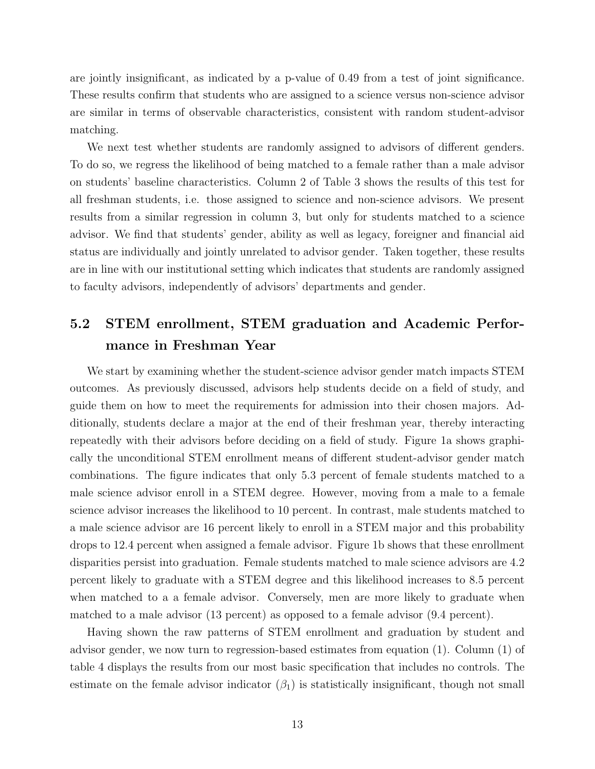are jointly insignificant, as indicated by a p-value of 0.49 from a test of joint significance. These results confirm that students who are assigned to a science versus non-science advisor are similar in terms of observable characteristics, consistent with random student-advisor matching.

We next test whether students are randomly assigned to advisors of different genders. To do so, we regress the likelihood of being matched to a female rather than a male advisor on students' baseline characteristics. Column 2 of Table 3 shows the results of this test for all freshman students, i.e. those assigned to science and non-science advisors. We present results from a similar regression in column 3, but only for students matched to a science advisor. We find that students' gender, ability as well as legacy, foreigner and financial aid status are individually and jointly unrelated to advisor gender. Taken together, these results are in line with our institutional setting which indicates that students are randomly assigned to faculty advisors, independently of advisors' departments and gender.

### 5.2 STEM enrollment, STEM graduation and Academic Performance in Freshman Year

We start by examining whether the student-science advisor gender match impacts STEM outcomes. As previously discussed, advisors help students decide on a field of study, and guide them on how to meet the requirements for admission into their chosen majors. Additionally, students declare a major at the end of their freshman year, thereby interacting repeatedly with their advisors before deciding on a field of study. Figure 1a shows graphically the unconditional STEM enrollment means of different student-advisor gender match combinations. The figure indicates that only 5.3 percent of female students matched to a male science advisor enroll in a STEM degree. However, moving from a male to a female science advisor increases the likelihood to 10 percent. In contrast, male students matched to a male science advisor are 16 percent likely to enroll in a STEM major and this probability drops to 12.4 percent when assigned a female advisor. Figure 1b shows that these enrollment disparities persist into graduation. Female students matched to male science advisors are 4.2 percent likely to graduate with a STEM degree and this likelihood increases to 8.5 percent when matched to a a female advisor. Conversely, men are more likely to graduate when matched to a male advisor (13 percent) as opposed to a female advisor (9.4 percent).

Having shown the raw patterns of STEM enrollment and graduation by student and advisor gender, we now turn to regression-based estimates from equation (1). Column (1) of table 4 displays the results from our most basic specification that includes no controls. The estimate on the female advisor indicator  $(\beta_1)$  is statistically insignificant, though not small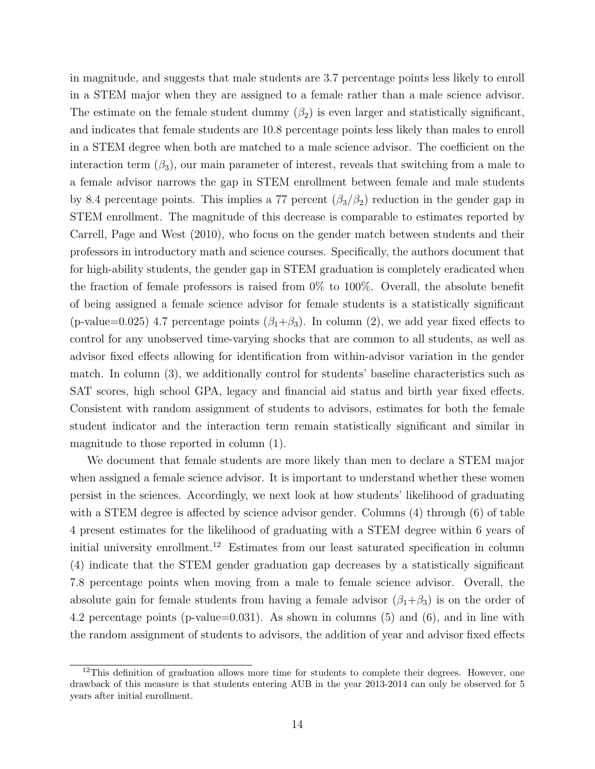in magnitude, and suggests that male students are 3.7 percentage points less likely to enroll in a STEM major when they are assigned to a female rather than a male science advisor. The estimate on the female student dummy  $(\beta_2)$  is even larger and statistically significant, and indicates that female students are 10.8 percentage points less likely than males to enroll in a STEM degree when both are matched to a male science advisor. The coefficient on the interaction term  $(\beta_3)$ , our main parameter of interest, reveals that switching from a male to a female advisor narrows the gap in STEM enrollment between female and male students by 8.4 percentage points. This implies a 77 percent  $(\beta_3/\beta_2)$  reduction in the gender gap in STEM enrollment. The magnitude of this decrease is comparable to estimates reported by Carrell, Page and West (2010), who focus on the gender match between students and their professors in introductory math and science courses. Specifically, the authors document that for high-ability students, the gender gap in STEM graduation is completely eradicated when the fraction of female professors is raised from 0% to 100%. Overall, the absolute benefit of being assigned a female science advisor for female students is a statistically significant (p-value=0.025) 4.7 percentage points  $(\beta_1+\beta_3)$ . In column (2), we add year fixed effects to control for any unobserved time-varying shocks that are common to all students, as well as advisor fixed effects allowing for identification from within-advisor variation in the gender match. In column (3), we additionally control for students' baseline characteristics such as SAT scores, high school GPA, legacy and financial aid status and birth year fixed effects. Consistent with random assignment of students to advisors, estimates for both the female student indicator and the interaction term remain statistically significant and similar in magnitude to those reported in column (1).

We document that female students are more likely than men to declare a STEM major when assigned a female science advisor. It is important to understand whether these women persist in the sciences. Accordingly, we next look at how students' likelihood of graduating with a STEM degree is affected by science advisor gender. Columns (4) through (6) of table 4 present estimates for the likelihood of graduating with a STEM degree within 6 years of initial university enrollment.<sup>12</sup> Estimates from our least saturated specification in column (4) indicate that the STEM gender graduation gap decreases by a statistically significant 7.8 percentage points when moving from a male to female science advisor. Overall, the absolute gain for female students from having a female advisor  $(\beta_1+\beta_3)$  is on the order of 4.2 percentage points (p-value=0.031). As shown in columns (5) and (6), and in line with the random assignment of students to advisors, the addition of year and advisor fixed effects

 $12$ This definition of graduation allows more time for students to complete their degrees. However, one drawback of this measure is that students entering AUB in the year 2013-2014 can only be observed for 5 years after initial enrollment.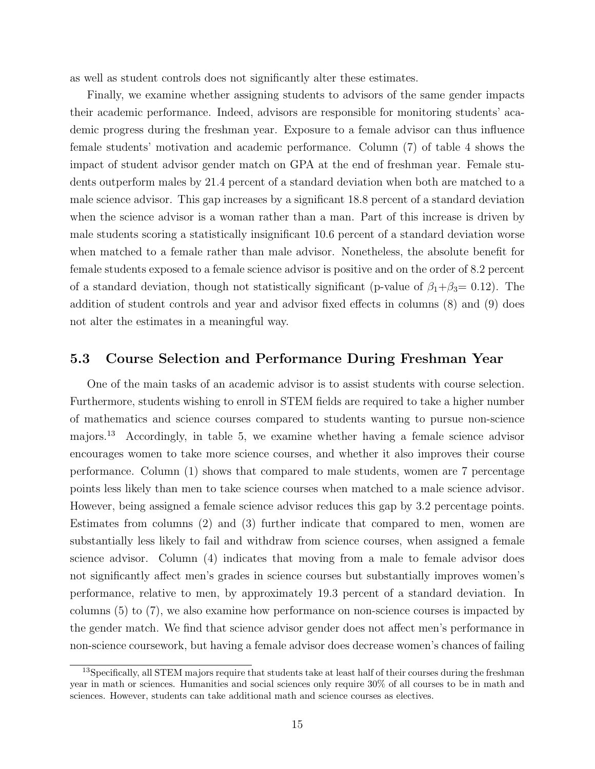as well as student controls does not significantly alter these estimates.

Finally, we examine whether assigning students to advisors of the same gender impacts their academic performance. Indeed, advisors are responsible for monitoring students' academic progress during the freshman year. Exposure to a female advisor can thus influence female students' motivation and academic performance. Column (7) of table 4 shows the impact of student advisor gender match on GPA at the end of freshman year. Female students outperform males by 21.4 percent of a standard deviation when both are matched to a male science advisor. This gap increases by a significant 18.8 percent of a standard deviation when the science advisor is a woman rather than a man. Part of this increase is driven by male students scoring a statistically insignificant 10.6 percent of a standard deviation worse when matched to a female rather than male advisor. Nonetheless, the absolute benefit for female students exposed to a female science advisor is positive and on the order of 8.2 percent of a standard deviation, though not statistically significant (p-value of  $\beta_1 + \beta_3 = 0.12$ ). The addition of student controls and year and advisor fixed effects in columns (8) and (9) does not alter the estimates in a meaningful way.

#### 5.3 Course Selection and Performance During Freshman Year

One of the main tasks of an academic advisor is to assist students with course selection. Furthermore, students wishing to enroll in STEM fields are required to take a higher number of mathematics and science courses compared to students wanting to pursue non-science majors.<sup>13</sup> Accordingly, in table 5, we examine whether having a female science advisor encourages women to take more science courses, and whether it also improves their course performance. Column (1) shows that compared to male students, women are 7 percentage points less likely than men to take science courses when matched to a male science advisor. However, being assigned a female science advisor reduces this gap by 3.2 percentage points. Estimates from columns (2) and (3) further indicate that compared to men, women are substantially less likely to fail and withdraw from science courses, when assigned a female science advisor. Column (4) indicates that moving from a male to female advisor does not significantly affect men's grades in science courses but substantially improves women's performance, relative to men, by approximately 19.3 percent of a standard deviation. In columns (5) to (7), we also examine how performance on non-science courses is impacted by the gender match. We find that science advisor gender does not affect men's performance in non-science coursework, but having a female advisor does decrease women's chances of failing

<sup>&</sup>lt;sup>13</sup>Specifically, all STEM majors require that students take at least half of their courses during the freshman year in math or sciences. Humanities and social sciences only require 30% of all courses to be in math and sciences. However, students can take additional math and science courses as electives.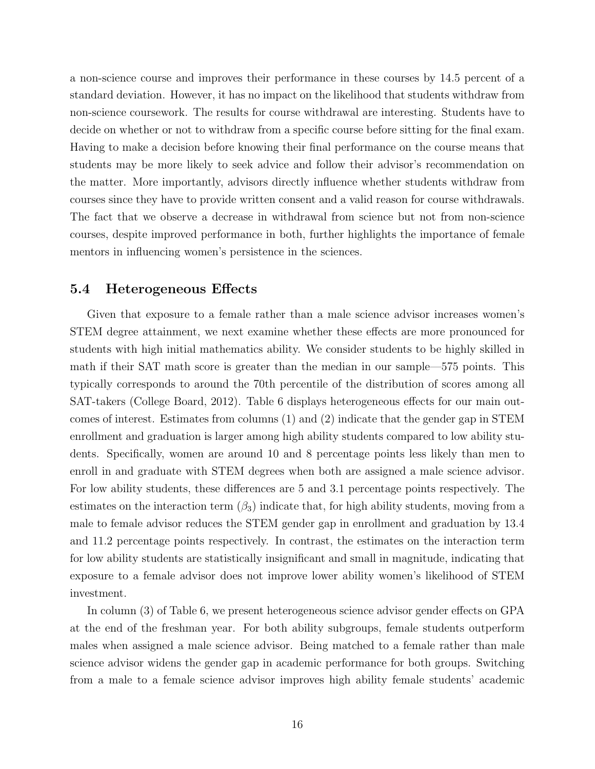a non-science course and improves their performance in these courses by 14.5 percent of a standard deviation. However, it has no impact on the likelihood that students withdraw from non-science coursework. The results for course withdrawal are interesting. Students have to decide on whether or not to withdraw from a specific course before sitting for the final exam. Having to make a decision before knowing their final performance on the course means that students may be more likely to seek advice and follow their advisor's recommendation on the matter. More importantly, advisors directly influence whether students withdraw from courses since they have to provide written consent and a valid reason for course withdrawals. The fact that we observe a decrease in withdrawal from science but not from non-science courses, despite improved performance in both, further highlights the importance of female mentors in influencing women's persistence in the sciences.

#### 5.4 Heterogeneous Effects

Given that exposure to a female rather than a male science advisor increases women's STEM degree attainment, we next examine whether these effects are more pronounced for students with high initial mathematics ability. We consider students to be highly skilled in math if their SAT math score is greater than the median in our sample—575 points. This typically corresponds to around the 70th percentile of the distribution of scores among all SAT-takers (College Board, 2012). Table 6 displays heterogeneous effects for our main outcomes of interest. Estimates from columns (1) and (2) indicate that the gender gap in STEM enrollment and graduation is larger among high ability students compared to low ability students. Specifically, women are around 10 and 8 percentage points less likely than men to enroll in and graduate with STEM degrees when both are assigned a male science advisor. For low ability students, these differences are 5 and 3.1 percentage points respectively. The estimates on the interaction term  $(\beta_3)$  indicate that, for high ability students, moving from a male to female advisor reduces the STEM gender gap in enrollment and graduation by 13.4 and 11.2 percentage points respectively. In contrast, the estimates on the interaction term for low ability students are statistically insignificant and small in magnitude, indicating that exposure to a female advisor does not improve lower ability women's likelihood of STEM investment.

In column (3) of Table 6, we present heterogeneous science advisor gender effects on GPA at the end of the freshman year. For both ability subgroups, female students outperform males when assigned a male science advisor. Being matched to a female rather than male science advisor widens the gender gap in academic performance for both groups. Switching from a male to a female science advisor improves high ability female students' academic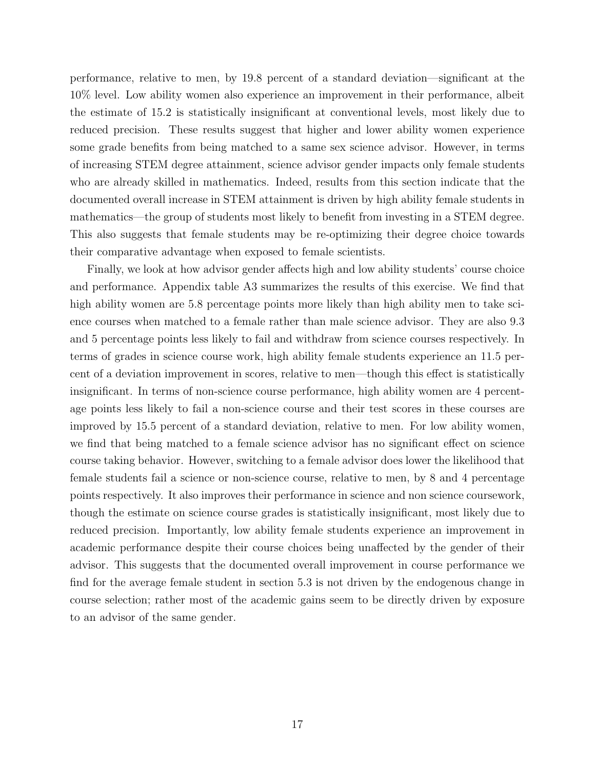performance, relative to men, by 19.8 percent of a standard deviation—significant at the 10% level. Low ability women also experience an improvement in their performance, albeit the estimate of 15.2 is statistically insignificant at conventional levels, most likely due to reduced precision. These results suggest that higher and lower ability women experience some grade benefits from being matched to a same sex science advisor. However, in terms of increasing STEM degree attainment, science advisor gender impacts only female students who are already skilled in mathematics. Indeed, results from this section indicate that the documented overall increase in STEM attainment is driven by high ability female students in mathematics—the group of students most likely to benefit from investing in a STEM degree. This also suggests that female students may be re-optimizing their degree choice towards their comparative advantage when exposed to female scientists.

Finally, we look at how advisor gender affects high and low ability students' course choice and performance. Appendix table A3 summarizes the results of this exercise. We find that high ability women are 5.8 percentage points more likely than high ability men to take science courses when matched to a female rather than male science advisor. They are also 9.3 and 5 percentage points less likely to fail and withdraw from science courses respectively. In terms of grades in science course work, high ability female students experience an 11.5 percent of a deviation improvement in scores, relative to men—though this effect is statistically insignificant. In terms of non-science course performance, high ability women are 4 percentage points less likely to fail a non-science course and their test scores in these courses are improved by 15.5 percent of a standard deviation, relative to men. For low ability women, we find that being matched to a female science advisor has no significant effect on science course taking behavior. However, switching to a female advisor does lower the likelihood that female students fail a science or non-science course, relative to men, by 8 and 4 percentage points respectively. It also improves their performance in science and non science coursework, though the estimate on science course grades is statistically insignificant, most likely due to reduced precision. Importantly, low ability female students experience an improvement in academic performance despite their course choices being unaffected by the gender of their advisor. This suggests that the documented overall improvement in course performance we find for the average female student in section 5.3 is not driven by the endogenous change in course selection; rather most of the academic gains seem to be directly driven by exposure to an advisor of the same gender.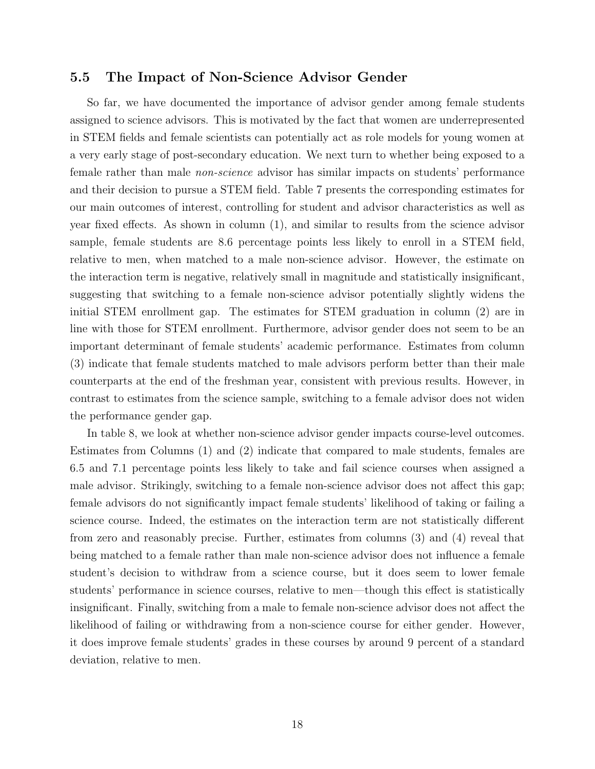#### 5.5 The Impact of Non-Science Advisor Gender

So far, we have documented the importance of advisor gender among female students assigned to science advisors. This is motivated by the fact that women are underrepresented in STEM fields and female scientists can potentially act as role models for young women at a very early stage of post-secondary education. We next turn to whether being exposed to a female rather than male non-science advisor has similar impacts on students' performance and their decision to pursue a STEM field. Table 7 presents the corresponding estimates for our main outcomes of interest, controlling for student and advisor characteristics as well as year fixed effects. As shown in column (1), and similar to results from the science advisor sample, female students are 8.6 percentage points less likely to enroll in a STEM field, relative to men, when matched to a male non-science advisor. However, the estimate on the interaction term is negative, relatively small in magnitude and statistically insignificant, suggesting that switching to a female non-science advisor potentially slightly widens the initial STEM enrollment gap. The estimates for STEM graduation in column (2) are in line with those for STEM enrollment. Furthermore, advisor gender does not seem to be an important determinant of female students' academic performance. Estimates from column (3) indicate that female students matched to male advisors perform better than their male counterparts at the end of the freshman year, consistent with previous results. However, in contrast to estimates from the science sample, switching to a female advisor does not widen the performance gender gap.

In table 8, we look at whether non-science advisor gender impacts course-level outcomes. Estimates from Columns (1) and (2) indicate that compared to male students, females are 6.5 and 7.1 percentage points less likely to take and fail science courses when assigned a male advisor. Strikingly, switching to a female non-science advisor does not affect this gap; female advisors do not significantly impact female students' likelihood of taking or failing a science course. Indeed, the estimates on the interaction term are not statistically different from zero and reasonably precise. Further, estimates from columns (3) and (4) reveal that being matched to a female rather than male non-science advisor does not influence a female student's decision to withdraw from a science course, but it does seem to lower female students' performance in science courses, relative to men—though this effect is statistically insignificant. Finally, switching from a male to female non-science advisor does not affect the likelihood of failing or withdrawing from a non-science course for either gender. However, it does improve female students' grades in these courses by around 9 percent of a standard deviation, relative to men.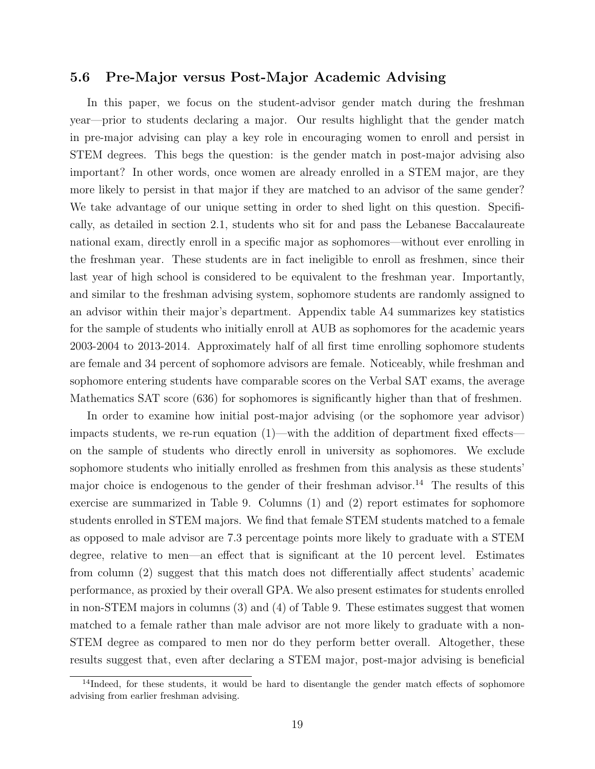#### 5.6 Pre-Major versus Post-Major Academic Advising

In this paper, we focus on the student-advisor gender match during the freshman year—prior to students declaring a major. Our results highlight that the gender match in pre-major advising can play a key role in encouraging women to enroll and persist in STEM degrees. This begs the question: is the gender match in post-major advising also important? In other words, once women are already enrolled in a STEM major, are they more likely to persist in that major if they are matched to an advisor of the same gender? We take advantage of our unique setting in order to shed light on this question. Specifically, as detailed in section 2.1, students who sit for and pass the Lebanese Baccalaureate national exam, directly enroll in a specific major as sophomores—without ever enrolling in the freshman year. These students are in fact ineligible to enroll as freshmen, since their last year of high school is considered to be equivalent to the freshman year. Importantly, and similar to the freshman advising system, sophomore students are randomly assigned to an advisor within their major's department. Appendix table A4 summarizes key statistics for the sample of students who initially enroll at AUB as sophomores for the academic years 2003-2004 to 2013-2014. Approximately half of all first time enrolling sophomore students are female and 34 percent of sophomore advisors are female. Noticeably, while freshman and sophomore entering students have comparable scores on the Verbal SAT exams, the average Mathematics SAT score (636) for sophomores is significantly higher than that of freshmen.

In order to examine how initial post-major advising (or the sophomore year advisor) impacts students, we re-run equation (1)—with the addition of department fixed effects on the sample of students who directly enroll in university as sophomores. We exclude sophomore students who initially enrolled as freshmen from this analysis as these students' major choice is endogenous to the gender of their freshman advisor.<sup>14</sup> The results of this exercise are summarized in Table 9. Columns (1) and (2) report estimates for sophomore students enrolled in STEM majors. We find that female STEM students matched to a female as opposed to male advisor are 7.3 percentage points more likely to graduate with a STEM degree, relative to men—an effect that is significant at the 10 percent level. Estimates from column (2) suggest that this match does not differentially affect students' academic performance, as proxied by their overall GPA. We also present estimates for students enrolled in non-STEM majors in columns (3) and (4) of Table 9. These estimates suggest that women matched to a female rather than male advisor are not more likely to graduate with a non-STEM degree as compared to men nor do they perform better overall. Altogether, these results suggest that, even after declaring a STEM major, post-major advising is beneficial

<sup>&</sup>lt;sup>14</sup>Indeed, for these students, it would be hard to disentangle the gender match effects of sophomore advising from earlier freshman advising.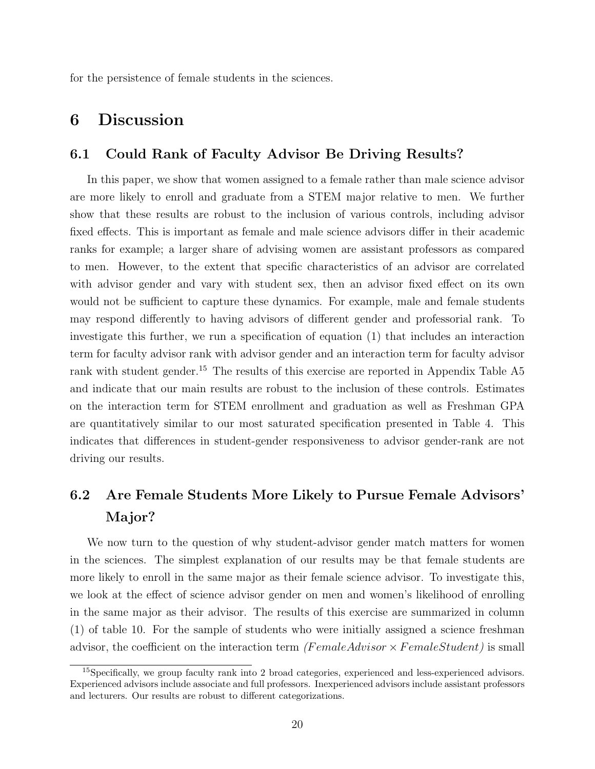for the persistence of female students in the sciences.

### 6 Discussion

#### 6.1 Could Rank of Faculty Advisor Be Driving Results?

In this paper, we show that women assigned to a female rather than male science advisor are more likely to enroll and graduate from a STEM major relative to men. We further show that these results are robust to the inclusion of various controls, including advisor fixed effects. This is important as female and male science advisors differ in their academic ranks for example; a larger share of advising women are assistant professors as compared to men. However, to the extent that specific characteristics of an advisor are correlated with advisor gender and vary with student sex, then an advisor fixed effect on its own would not be sufficient to capture these dynamics. For example, male and female students may respond differently to having advisors of different gender and professorial rank. To investigate this further, we run a specification of equation (1) that includes an interaction term for faculty advisor rank with advisor gender and an interaction term for faculty advisor rank with student gender.<sup>15</sup> The results of this exercise are reported in Appendix Table A5 and indicate that our main results are robust to the inclusion of these controls. Estimates on the interaction term for STEM enrollment and graduation as well as Freshman GPA are quantitatively similar to our most saturated specification presented in Table 4. This indicates that differences in student-gender responsiveness to advisor gender-rank are not driving our results.

# 6.2 Are Female Students More Likely to Pursue Female Advisors' Major?

We now turn to the question of why student-advisor gender match matters for women in the sciences. The simplest explanation of our results may be that female students are more likely to enroll in the same major as their female science advisor. To investigate this, we look at the effect of science advisor gender on men and women's likelihood of enrolling in the same major as their advisor. The results of this exercise are summarized in column (1) of table 10. For the sample of students who were initially assigned a science freshman advisor, the coefficient on the interaction term (FemaleAdvisor  $\times$  FemaleStudent) is small

<sup>&</sup>lt;sup>15</sup>Specifically, we group faculty rank into 2 broad categories, experienced and less-experienced advisors. Experienced advisors include associate and full professors. Inexperienced advisors include assistant professors and lecturers. Our results are robust to different categorizations.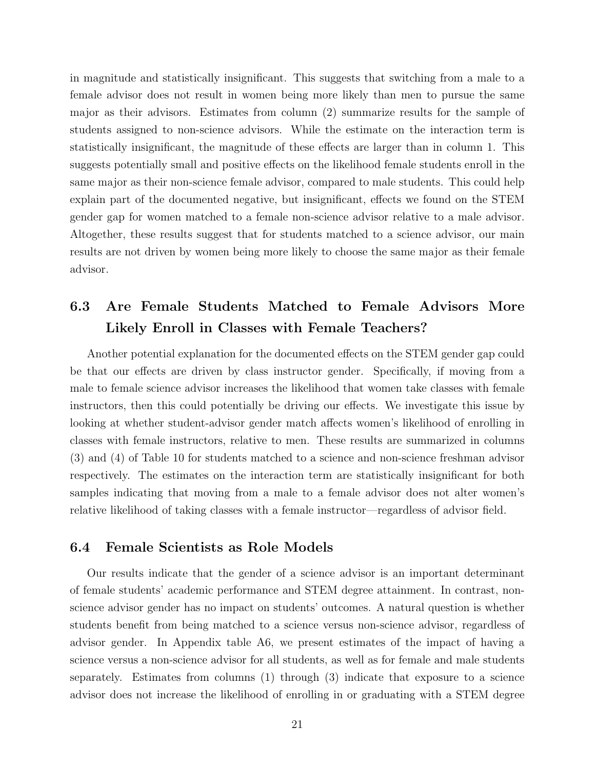in magnitude and statistically insignificant. This suggests that switching from a male to a female advisor does not result in women being more likely than men to pursue the same major as their advisors. Estimates from column (2) summarize results for the sample of students assigned to non-science advisors. While the estimate on the interaction term is statistically insignificant, the magnitude of these effects are larger than in column 1. This suggests potentially small and positive effects on the likelihood female students enroll in the same major as their non-science female advisor, compared to male students. This could help explain part of the documented negative, but insignificant, effects we found on the STEM gender gap for women matched to a female non-science advisor relative to a male advisor. Altogether, these results suggest that for students matched to a science advisor, our main results are not driven by women being more likely to choose the same major as their female advisor.

# 6.3 Are Female Students Matched to Female Advisors More Likely Enroll in Classes with Female Teachers?

Another potential explanation for the documented effects on the STEM gender gap could be that our effects are driven by class instructor gender. Specifically, if moving from a male to female science advisor increases the likelihood that women take classes with female instructors, then this could potentially be driving our effects. We investigate this issue by looking at whether student-advisor gender match affects women's likelihood of enrolling in classes with female instructors, relative to men. These results are summarized in columns (3) and (4) of Table 10 for students matched to a science and non-science freshman advisor respectively. The estimates on the interaction term are statistically insignificant for both samples indicating that moving from a male to a female advisor does not alter women's relative likelihood of taking classes with a female instructor—regardless of advisor field.

#### 6.4 Female Scientists as Role Models

Our results indicate that the gender of a science advisor is an important determinant of female students' academic performance and STEM degree attainment. In contrast, nonscience advisor gender has no impact on students' outcomes. A natural question is whether students benefit from being matched to a science versus non-science advisor, regardless of advisor gender. In Appendix table A6, we present estimates of the impact of having a science versus a non-science advisor for all students, as well as for female and male students separately. Estimates from columns (1) through (3) indicate that exposure to a science advisor does not increase the likelihood of enrolling in or graduating with a STEM degree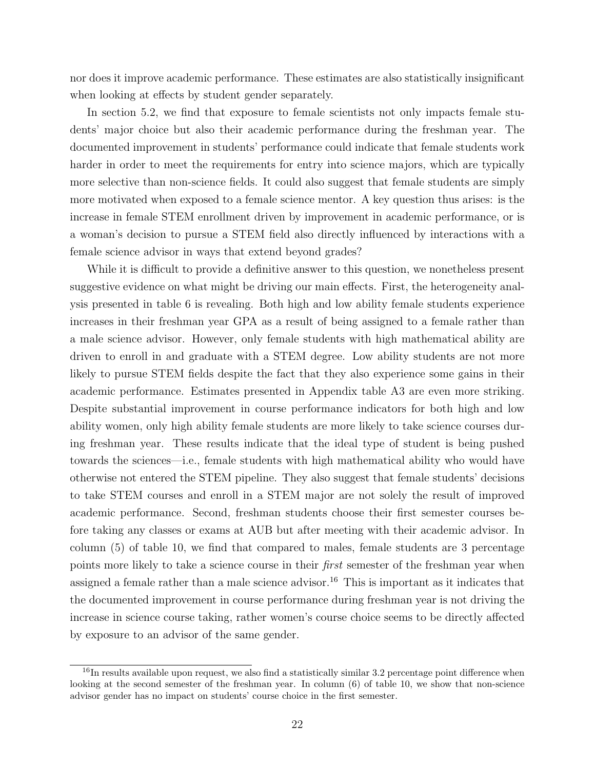nor does it improve academic performance. These estimates are also statistically insignificant when looking at effects by student gender separately.

In section 5.2, we find that exposure to female scientists not only impacts female students' major choice but also their academic performance during the freshman year. The documented improvement in students' performance could indicate that female students work harder in order to meet the requirements for entry into science majors, which are typically more selective than non-science fields. It could also suggest that female students are simply more motivated when exposed to a female science mentor. A key question thus arises: is the increase in female STEM enrollment driven by improvement in academic performance, or is a woman's decision to pursue a STEM field also directly influenced by interactions with a female science advisor in ways that extend beyond grades?

While it is difficult to provide a definitive answer to this question, we nonetheless present suggestive evidence on what might be driving our main effects. First, the heterogeneity analysis presented in table 6 is revealing. Both high and low ability female students experience increases in their freshman year GPA as a result of being assigned to a female rather than a male science advisor. However, only female students with high mathematical ability are driven to enroll in and graduate with a STEM degree. Low ability students are not more likely to pursue STEM fields despite the fact that they also experience some gains in their academic performance. Estimates presented in Appendix table A3 are even more striking. Despite substantial improvement in course performance indicators for both high and low ability women, only high ability female students are more likely to take science courses during freshman year. These results indicate that the ideal type of student is being pushed towards the sciences—i.e., female students with high mathematical ability who would have otherwise not entered the STEM pipeline. They also suggest that female students' decisions to take STEM courses and enroll in a STEM major are not solely the result of improved academic performance. Second, freshman students choose their first semester courses before taking any classes or exams at AUB but after meeting with their academic advisor. In column (5) of table 10, we find that compared to males, female students are 3 percentage points more likely to take a science course in their first semester of the freshman year when assigned a female rather than a male science advisor.<sup>16</sup> This is important as it indicates that the documented improvement in course performance during freshman year is not driving the increase in science course taking, rather women's course choice seems to be directly affected by exposure to an advisor of the same gender.

 $16$ In results available upon request, we also find a statistically similar 3.2 percentage point difference when looking at the second semester of the freshman year. In column (6) of table 10, we show that non-science advisor gender has no impact on students' course choice in the first semester.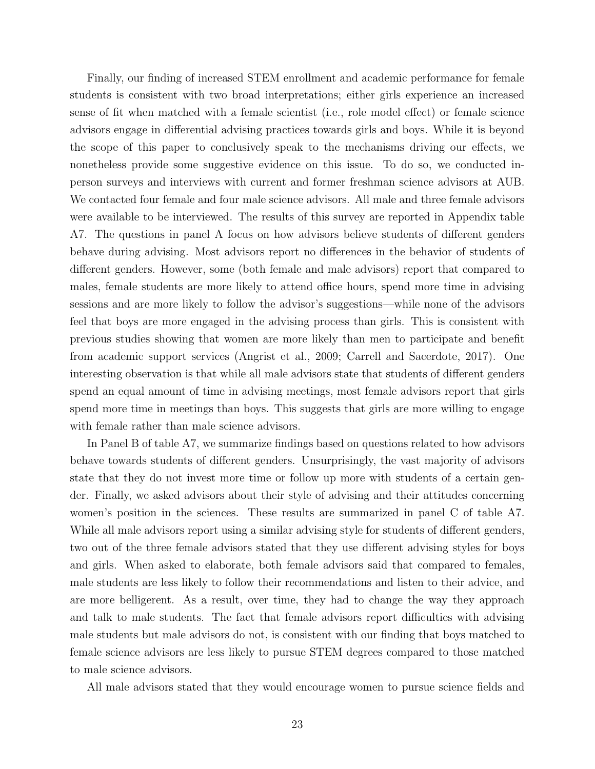Finally, our finding of increased STEM enrollment and academic performance for female students is consistent with two broad interpretations; either girls experience an increased sense of fit when matched with a female scientist (i.e., role model effect) or female science advisors engage in differential advising practices towards girls and boys. While it is beyond the scope of this paper to conclusively speak to the mechanisms driving our effects, we nonetheless provide some suggestive evidence on this issue. To do so, we conducted inperson surveys and interviews with current and former freshman science advisors at AUB. We contacted four female and four male science advisors. All male and three female advisors were available to be interviewed. The results of this survey are reported in Appendix table A7. The questions in panel A focus on how advisors believe students of different genders behave during advising. Most advisors report no differences in the behavior of students of different genders. However, some (both female and male advisors) report that compared to males, female students are more likely to attend office hours, spend more time in advising sessions and are more likely to follow the advisor's suggestions—while none of the advisors feel that boys are more engaged in the advising process than girls. This is consistent with previous studies showing that women are more likely than men to participate and benefit from academic support services (Angrist et al., 2009; Carrell and Sacerdote, 2017). One interesting observation is that while all male advisors state that students of different genders spend an equal amount of time in advising meetings, most female advisors report that girls spend more time in meetings than boys. This suggests that girls are more willing to engage with female rather than male science advisors.

In Panel B of table A7, we summarize findings based on questions related to how advisors behave towards students of different genders. Unsurprisingly, the vast majority of advisors state that they do not invest more time or follow up more with students of a certain gender. Finally, we asked advisors about their style of advising and their attitudes concerning women's position in the sciences. These results are summarized in panel C of table A7. While all male advisors report using a similar advising style for students of different genders, two out of the three female advisors stated that they use different advising styles for boys and girls. When asked to elaborate, both female advisors said that compared to females, male students are less likely to follow their recommendations and listen to their advice, and are more belligerent. As a result, over time, they had to change the way they approach and talk to male students. The fact that female advisors report difficulties with advising male students but male advisors do not, is consistent with our finding that boys matched to female science advisors are less likely to pursue STEM degrees compared to those matched to male science advisors.

All male advisors stated that they would encourage women to pursue science fields and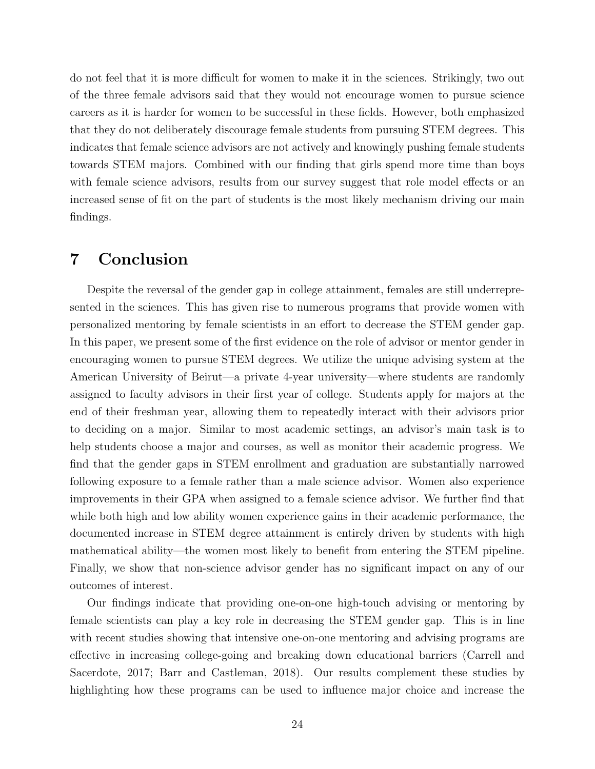do not feel that it is more difficult for women to make it in the sciences. Strikingly, two out of the three female advisors said that they would not encourage women to pursue science careers as it is harder for women to be successful in these fields. However, both emphasized that they do not deliberately discourage female students from pursuing STEM degrees. This indicates that female science advisors are not actively and knowingly pushing female students towards STEM majors. Combined with our finding that girls spend more time than boys with female science advisors, results from our survey suggest that role model effects or an increased sense of fit on the part of students is the most likely mechanism driving our main findings.

### 7 Conclusion

Despite the reversal of the gender gap in college attainment, females are still underrepresented in the sciences. This has given rise to numerous programs that provide women with personalized mentoring by female scientists in an effort to decrease the STEM gender gap. In this paper, we present some of the first evidence on the role of advisor or mentor gender in encouraging women to pursue STEM degrees. We utilize the unique advising system at the American University of Beirut—a private 4-year university—where students are randomly assigned to faculty advisors in their first year of college. Students apply for majors at the end of their freshman year, allowing them to repeatedly interact with their advisors prior to deciding on a major. Similar to most academic settings, an advisor's main task is to help students choose a major and courses, as well as monitor their academic progress. We find that the gender gaps in STEM enrollment and graduation are substantially narrowed following exposure to a female rather than a male science advisor. Women also experience improvements in their GPA when assigned to a female science advisor. We further find that while both high and low ability women experience gains in their academic performance, the documented increase in STEM degree attainment is entirely driven by students with high mathematical ability—the women most likely to benefit from entering the STEM pipeline. Finally, we show that non-science advisor gender has no significant impact on any of our outcomes of interest.

Our findings indicate that providing one-on-one high-touch advising or mentoring by female scientists can play a key role in decreasing the STEM gender gap. This is in line with recent studies showing that intensive one-on-one mentoring and advising programs are effective in increasing college-going and breaking down educational barriers (Carrell and Sacerdote, 2017; Barr and Castleman, 2018). Our results complement these studies by highlighting how these programs can be used to influence major choice and increase the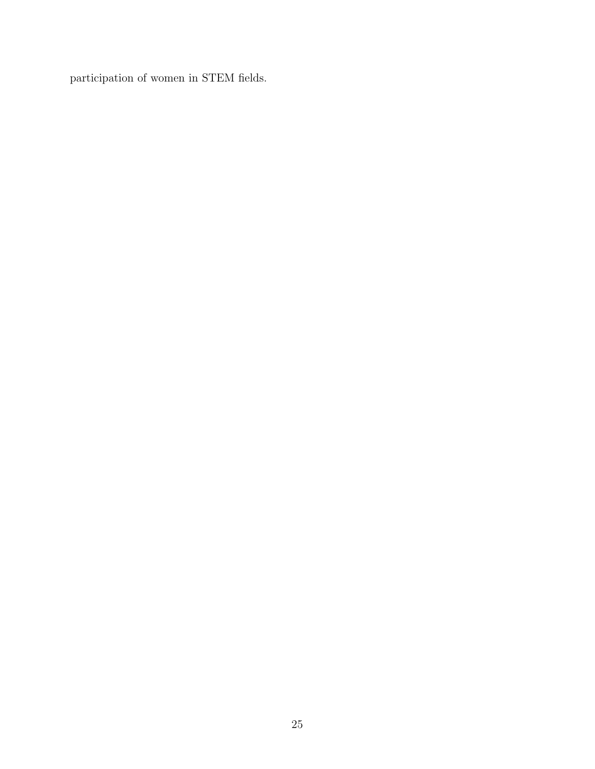participation of women in STEM fields.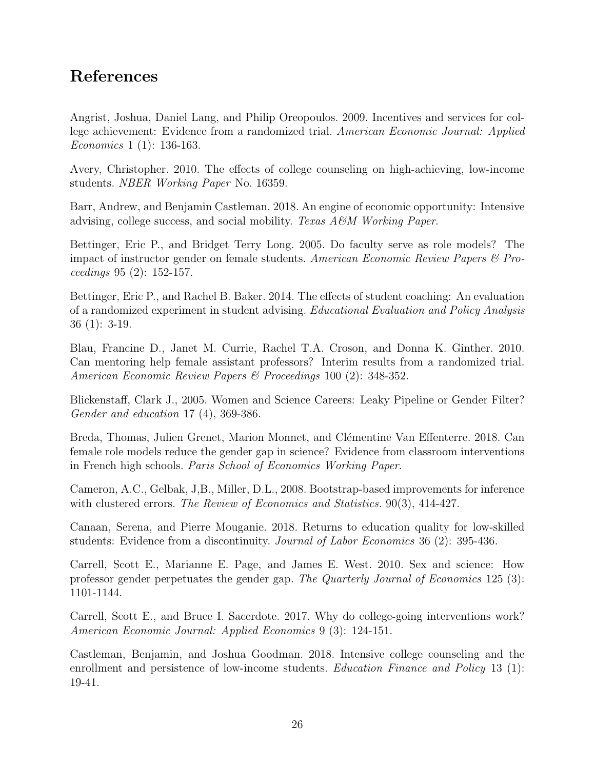# References

Angrist, Joshua, Daniel Lang, and Philip Oreopoulos. 2009. Incentives and services for college achievement: Evidence from a randomized trial. American Economic Journal: Applied Economics 1 (1): 136-163.

Avery, Christopher. 2010. The effects of college counseling on high-achieving, low-income students. NBER Working Paper No. 16359.

Barr, Andrew, and Benjamin Castleman. 2018. An engine of economic opportunity: Intensive advising, college success, and social mobility. Texas  $A\mathscr{C}M$  Working Paper.

Bettinger, Eric P., and Bridget Terry Long. 2005. Do faculty serve as role models? The impact of instructor gender on female students. American Economic Review Papers & Proceedings 95 (2): 152-157.

Bettinger, Eric P., and Rachel B. Baker. 2014. The effects of student coaching: An evaluation of a randomized experiment in student advising. Educational Evaluation and Policy Analysis 36 (1): 3-19.

Blau, Francine D., Janet M. Currie, Rachel T.A. Croson, and Donna K. Ginther. 2010. Can mentoring help female assistant professors? Interim results from a randomized trial. American Economic Review Papers & Proceedings 100 (2): 348-352.

Blickenstaff, Clark J., 2005. Women and Science Careers: Leaky Pipeline or Gender Filter? Gender and education 17 (4), 369-386.

Breda, Thomas, Julien Grenet, Marion Monnet, and Clémentine Van Effenterre. 2018. Can female role models reduce the gender gap in science? Evidence from classroom interventions in French high schools. Paris School of Economics Working Paper.

Cameron, A.C., Gelbak, J,B., Miller, D.L., 2008. Bootstrap-based improvements for inference with clustered errors. The Review of Economics and Statistics. 90(3), 414-427.

Canaan, Serena, and Pierre Mouganie. 2018. Returns to education quality for low-skilled students: Evidence from a discontinuity. Journal of Labor Economics 36 (2): 395-436.

Carrell, Scott E., Marianne E. Page, and James E. West. 2010. Sex and science: How professor gender perpetuates the gender gap. The Quarterly Journal of Economics 125 (3): 1101-1144.

Carrell, Scott E., and Bruce I. Sacerdote. 2017. Why do college-going interventions work? American Economic Journal: Applied Economics 9 (3): 124-151.

Castleman, Benjamin, and Joshua Goodman. 2018. Intensive college counseling and the enrollment and persistence of low-income students. *Education Finance and Policy* 13 (1): 19-41.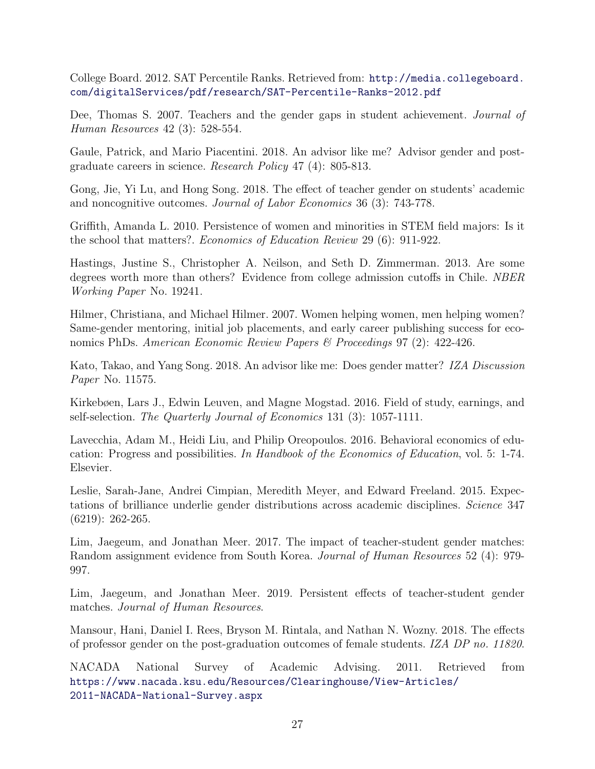College Board. 2012. SAT Percentile Ranks. Retrieved from: [http://media.collegeboard.](http://media.collegeboard.com/digitalServices/pdf/research/SAT-Percentile-Ranks-2012.pdf) [com/digitalServices/pdf/research/SAT-Percentile-Ranks-2012.pdf](http://media.collegeboard.com/digitalServices/pdf/research/SAT-Percentile-Ranks-2012.pdf)

Dee, Thomas S. 2007. Teachers and the gender gaps in student achievement. Journal of Human Resources 42 (3): 528-554.

Gaule, Patrick, and Mario Piacentini. 2018. An advisor like me? Advisor gender and postgraduate careers in science. Research Policy 47 (4): 805-813.

Gong, Jie, Yi Lu, and Hong Song. 2018. The effect of teacher gender on students' academic and noncognitive outcomes. Journal of Labor Economics 36 (3): 743-778.

Griffith, Amanda L. 2010. Persistence of women and minorities in STEM field majors: Is it the school that matters?. Economics of Education Review 29 (6): 911-922.

Hastings, Justine S., Christopher A. Neilson, and Seth D. Zimmerman. 2013. Are some degrees worth more than others? Evidence from college admission cutoffs in Chile. NBER Working Paper No. 19241.

Hilmer, Christiana, and Michael Hilmer. 2007. Women helping women, men helping women? Same-gender mentoring, initial job placements, and early career publishing success for economics PhDs. American Economic Review Papers & Proceedings 97 (2): 422-426.

Kato, Takao, and Yang Song. 2018. An advisor like me: Does gender matter? IZA Discussion Paper No. 11575.

Kirkebøen, Lars J., Edwin Leuven, and Magne Mogstad. 2016. Field of study, earnings, and self-selection. The Quarterly Journal of Economics 131 (3): 1057-1111.

Lavecchia, Adam M., Heidi Liu, and Philip Oreopoulos. 2016. Behavioral economics of education: Progress and possibilities. In Handbook of the Economics of Education, vol. 5: 1-74. Elsevier.

Leslie, Sarah-Jane, Andrei Cimpian, Meredith Meyer, and Edward Freeland. 2015. Expectations of brilliance underlie gender distributions across academic disciplines. Science 347 (6219): 262-265.

Lim, Jaegeum, and Jonathan Meer. 2017. The impact of teacher-student gender matches: Random assignment evidence from South Korea. Journal of Human Resources 52 (4): 979- 997.

Lim, Jaegeum, and Jonathan Meer. 2019. Persistent effects of teacher-student gender matches. Journal of Human Resources.

Mansour, Hani, Daniel I. Rees, Bryson M. Rintala, and Nathan N. Wozny. 2018. The effects of professor gender on the post-graduation outcomes of female students. IZA DP no. 11820.

NACADA National Survey of Academic Advising. 2011. Retrieved from [https://www.nacada.ksu.edu/Resources/Clearinghouse/View-Articles/](https://www.nacada.ksu.edu/Resources/Clearinghouse/View-Articles/2011-NACADA-National-Survey.aspx) [2011-NACADA-National-Survey.aspx](https://www.nacada.ksu.edu/Resources/Clearinghouse/View-Articles/2011-NACADA-National-Survey.aspx)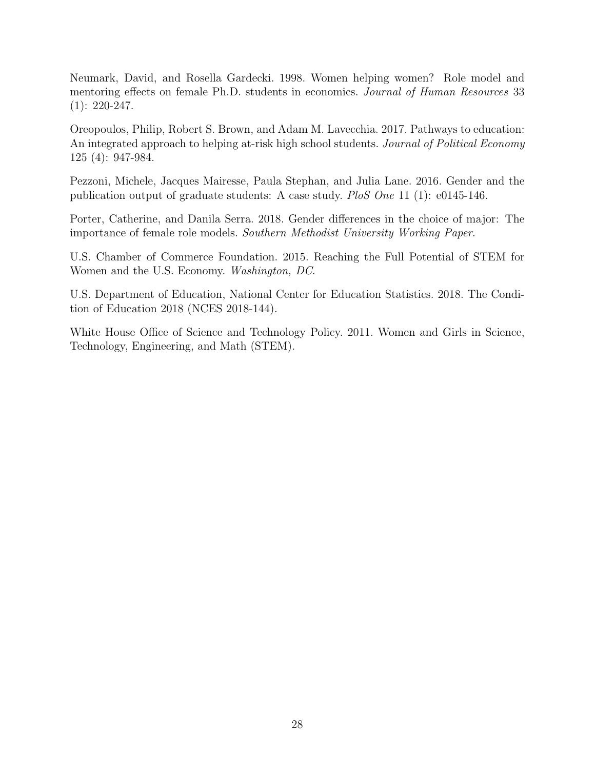Neumark, David, and Rosella Gardecki. 1998. Women helping women? Role model and mentoring effects on female Ph.D. students in economics. Journal of Human Resources 33  $(1): 220-247.$ 

Oreopoulos, Philip, Robert S. Brown, and Adam M. Lavecchia. 2017. Pathways to education: An integrated approach to helping at-risk high school students. Journal of Political Economy 125 (4): 947-984.

Pezzoni, Michele, Jacques Mairesse, Paula Stephan, and Julia Lane. 2016. Gender and the publication output of graduate students: A case study. PloS One 11 (1): e0145-146.

Porter, Catherine, and Danila Serra. 2018. Gender differences in the choice of major: The importance of female role models. Southern Methodist University Working Paper.

U.S. Chamber of Commerce Foundation. 2015. Reaching the Full Potential of STEM for Women and the U.S. Economy. Washington, DC.

U.S. Department of Education, National Center for Education Statistics. 2018. The Condition of Education 2018 (NCES 2018-144).

White House Office of Science and Technology Policy. 2011. Women and Girls in Science, Technology, Engineering, and Math (STEM).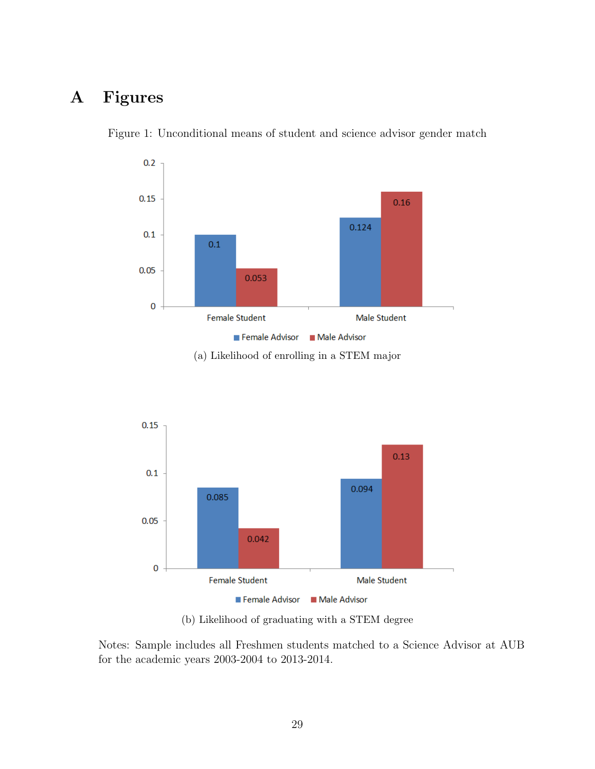# A Figures



Figure 1: Unconditional means of student and science advisor gender match



(b) Likelihood of graduating with a STEM degree

Notes: Sample includes all Freshmen students matched to a Science Advisor at AUB for the academic years 2003-2004 to 2013-2014.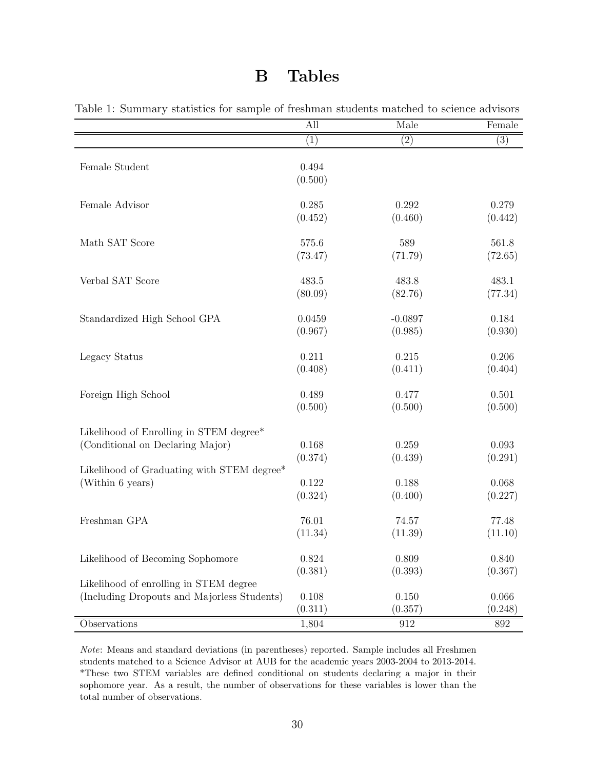## B Tables

|                                             | All              | Male              | Female  |
|---------------------------------------------|------------------|-------------------|---------|
|                                             | (1)              | $\left( 2\right)$ | (3)     |
| Female Student                              | 0.494<br>(0.500) |                   |         |
| Female Advisor                              | 0.285            | 0.292             | 0.279   |
|                                             | (0.452)          | (0.460)           | (0.442) |
| Math SAT Score                              | 575.6            | 589               | 561.8   |
|                                             | (73.47)          | (71.79)           | (72.65) |
| Verbal SAT Score                            | 483.5            | 483.8             | 483.1   |
|                                             | (80.09)          | (82.76)           | (77.34) |
| Standardized High School GPA                | 0.0459           | $-0.0897$         | 0.184   |
|                                             | (0.967)          | (0.985)           | (0.930) |
| Legacy Status                               | 0.211            | 0.215             | 0.206   |
|                                             | (0.408)          | (0.411)           | (0.404) |
| Foreign High School                         | 0.489            | 0.477             | 0.501   |
|                                             | (0.500)          | (0.500)           | (0.500) |
| Likelihood of Enrolling in STEM degree*     | 0.168            | 0.259             | 0.093   |
| (Conditional on Declaring Major)            | (0.374)          | (0.439)           | (0.291) |
| Likelihood of Graduating with STEM degree*  | 0.122            | 0.188             | 0.068   |
| (Within 6 years)                            | (0.324)          | (0.400)           | (0.227) |
| Freshman GPA                                | 76.01            | 74.57             | 77.48   |
|                                             | (11.34)          | (11.39)           | (11.10) |
| Likelihood of Becoming Sophomore            | 0.824            | 0.809             | 0.840   |
|                                             | (0.381)          | (0.393)           | (0.367) |
| Likelihood of enrolling in STEM degree      | 0.108            | 0.150             | 0.066   |
| (Including Dropouts and Majorless Students) | (0.311)          | (0.357)           | (0.248) |
| Observations                                | 1,804            | 912               | 892     |

Table 1: Summary statistics for sample of freshman students matched to science advisors

Note: Means and standard deviations (in parentheses) reported. Sample includes all Freshmen students matched to a Science Advisor at AUB for the academic years 2003-2004 to 2013-2014. \*These two STEM variables are defined conditional on students declaring a major in their sophomore year. As a result, the number of observations for these variables is lower than the total number of observations.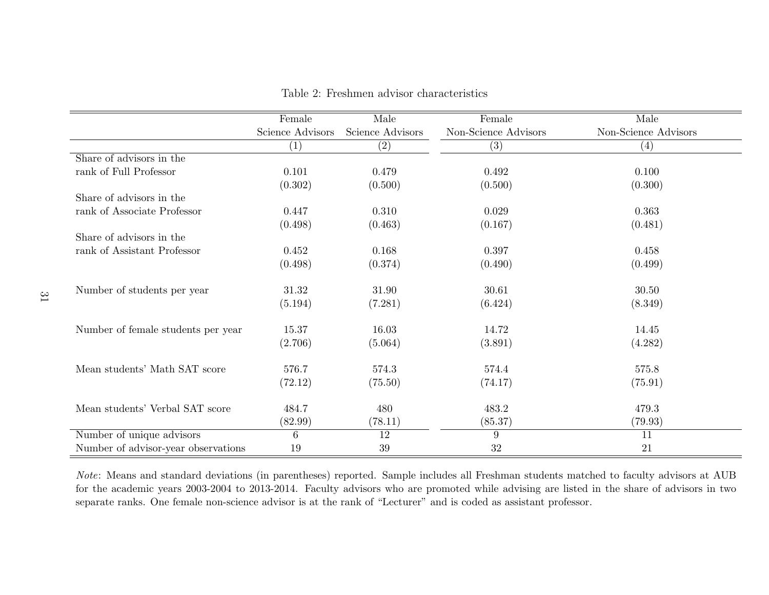|                                     | Female            | Male             | Female               | Male                 |
|-------------------------------------|-------------------|------------------|----------------------|----------------------|
|                                     | Science Advisors  | Science Advisors | Non-Science Advisors | Non-Science Advisors |
|                                     | $\left( 1\right)$ | (2)              | (3)                  | $\left( 4\right)$    |
| Share of advisors in the            |                   |                  |                      |                      |
| rank of Full Professor              | 0.101             | 0.479            | 0.492                | 0.100                |
|                                     | (0.302)           | (0.500)          | (0.500)              | (0.300)              |
| Share of advisors in the            |                   |                  |                      |                      |
| rank of Associate Professor         | 0.447             | 0.310            | 0.029                | 0.363                |
|                                     | (0.498)           | (0.463)          | (0.167)              | (0.481)              |
| Share of advisors in the            |                   |                  |                      |                      |
| rank of Assistant Professor         | 0.452             | 0.168            | 0.397                | 0.458                |
|                                     | (0.498)           | (0.374)          | (0.490)              | (0.499)              |
|                                     |                   |                  |                      |                      |
| Number of students per year         | 31.32             | 31.90            | 30.61                | 30.50                |
|                                     | (5.194)           | (7.281)          | (6.424)              | (8.349)              |
| Number of female students per year  | 15.37             | 16.03            | 14.72                | 14.45                |
|                                     | (2.706)           | (5.064)          | (3.891)              | (4.282)              |
|                                     |                   |                  |                      |                      |
| Mean students' Math SAT score       | 576.7             | 574.3            | 574.4                | 575.8                |
|                                     | (72.12)           | (75.50)          | (74.17)              | (75.91)              |
| Mean students' Verbal SAT score     | 484.7             | 480              | 483.2                | 479.3                |
|                                     | (82.99)           | (78.11)          | (85.37)              | (79.93)              |
| Number of unique advisors           | 6                 | <b>12</b>        | 9                    | 11                   |
| Number of advisor-year observations | 19                | 39               | 32                   | 21                   |

Table 2: Freshmen advisor characteristics

Note: Means and standard deviations (in parentheses) reported. Sample includes all Freshman students matched to faculty advisors at AUB for the academic years 2003-2004 to 2013-2014. Faculty advisors who are promoted while advising are listed in the share of advisors in twoseparate ranks. One female non-science advisor is at the rank of "Lecturer" and is coded as assistant professor.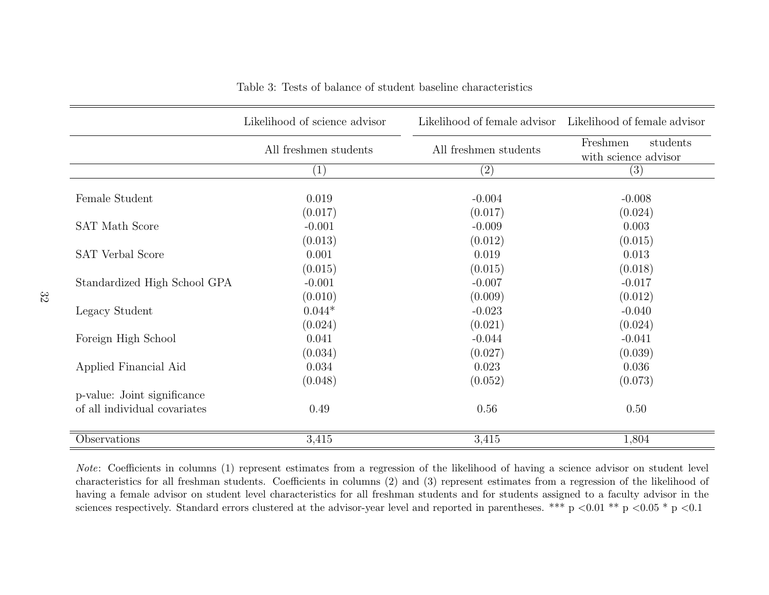|                              | Likelihood of science advisor | Likelihood of female advisor | Likelihood of female advisor                 |
|------------------------------|-------------------------------|------------------------------|----------------------------------------------|
|                              | All freshmen students         | All freshmen students        | Freshmen<br>students<br>with science advisor |
|                              | (1)                           | $\left( 2\right)$            | (3)                                          |
| Female Student               | 0.019                         | $-0.004$                     | $-0.008$                                     |
| <b>SAT Math Score</b>        | (0.017)<br>$-0.001$           | (0.017)<br>$-0.009$          | (0.024)<br>0.003                             |
| SAT Verbal Score             | (0.013)<br>0.001              | (0.012)<br>0.019             | (0.015)<br>0.013                             |
| Standardized High School GPA | (0.015)<br>$-0.001$           | (0.015)<br>$-0.007$          | (0.018)<br>$-0.017$                          |
| Legacy Student               | (0.010)<br>$0.044*$           | (0.009)<br>$-0.023$          | (0.012)<br>$-0.040$                          |
| Foreign High School          | (0.024)<br>0.041              | (0.021)<br>$-0.044$          | (0.024)<br>$-0.041$                          |
| Applied Financial Aid        | (0.034)<br>0.034              | (0.027)<br>0.023             | (0.039)<br>0.036                             |
| p-value: Joint significance  | (0.048)                       | (0.052)                      | (0.073)                                      |
| of all individual covariates | 0.49                          | 0.56                         | 0.50                                         |
| Observations                 | 3,415                         | 3,415                        | 1,804                                        |

Table 3: Tests of balance of student baseline characteristics

Note: Coefficients in columns (1) represent estimates from <sup>a</sup> regression of the likelihood of having <sup>a</sup> science advisor on student level characteristics for all freshman students. Coefficients in columns (2) and (3) represent estimates from <sup>a</sup> regression of the likelihood of having <sup>a</sup> female advisor on student level characteristics for all freshman students and for students assigned to <sup>a</sup> faculty advisor in thesciences respectively. Standard errors clustered at the advisor-year level and reported in parentheses. \*\*\* p  $\lt 0.01$  \*\* p  $\lt 0.05$  \* p  $\lt 0.1$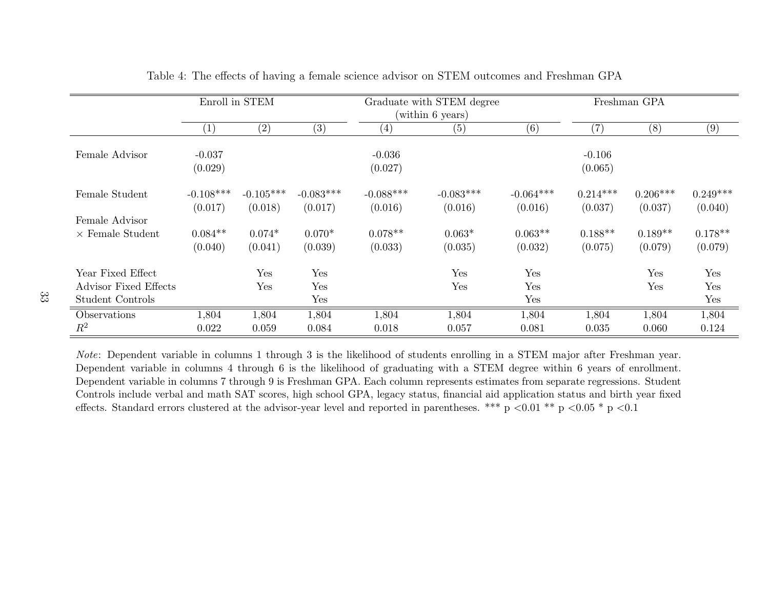|                         |             | Enroll in STEM |             |             | Graduate with STEM degree |             |                   | Freshman GPA |            |
|-------------------------|-------------|----------------|-------------|-------------|---------------------------|-------------|-------------------|--------------|------------|
|                         |             |                |             |             | (within 6 years)          |             |                   |              |            |
|                         | (1)         | $\rm(2)$       | (3)         | (4)         | (5)                       | (6)         | $\left( 7\right)$ | (8)          | (9)        |
|                         |             |                |             |             |                           |             |                   |              |            |
| Female Advisor          | $-0.037$    |                |             | $-0.036$    |                           |             | $-0.106$          |              |            |
|                         | (0.029)     |                |             | (0.027)     |                           |             | (0.065)           |              |            |
| Female Student          | $-0.108***$ | $-0.105***$    | $-0.083***$ | $-0.088***$ | $-0.083***$               | $-0.064***$ | $0.214***$        | $0.206***$   | $0.249***$ |
|                         | (0.017)     | (0.018)        | (0.017)     | (0.016)     | (0.016)                   | (0.016)     | (0.037)           | (0.037)      | (0.040)    |
| Female Advisor          |             |                |             |             |                           |             |                   |              |            |
| $\times$ Female Student | $0.084**$   | $0.074*$       | $0.070*$    | $0.078**$   | $0.063*$                  | $0.063**$   | $0.188**$         | $0.189**$    | $0.178**$  |
|                         | (0.040)     | (0.041)        | (0.039)     | (0.033)     | (0.035)                   | (0.032)     | (0.075)           | (0.079)      | (0.079)    |
| Year Fixed Effect       |             | Yes            | Yes         |             | Yes                       | Yes         |                   | Yes          | Yes        |
| Advisor Fixed Effects   |             | Yes            | Yes         |             | Yes                       | Yes         |                   | Yes          | Yes        |
| Student Controls        |             |                | Yes         |             |                           | Yes         |                   |              | Yes        |
| Observations            | 1,804       | 1,804          | 1,804       | 1,804       | 1,804                     | 1,804       | 1,804             | 1,804        | 1,804      |
| $R^2$                   | 0.022       | 0.059          | 0.084       | 0.018       | 0.057                     | 0.081       | 0.035             | 0.060        | 0.124      |

Table 4: The effects of having <sup>a</sup> female science advisor on STEM outcomes and Freshman GPA

Note: Dependent variable in columns 1 through 3 is the likelihood of students enrolling in <sup>a</sup> STEM major after Freshman year. Dependent variable in columns 4 through 6 is the likelihood of graduating with <sup>a</sup> STEM degree within 6 years of enrollment. Dependent variable in columns 7 through 9 is Freshman GPA. Each column represents estimates from separate regressions. Student Controls include verbal and math SAT scores, high school GPA, legacy status, financial aid application status and birth year fixedeffects. Standard errors clustered at the advisor-year level and reported in parentheses. \*\*\* p  $\lt 0.01$  \*\* p  $\lt 0.05$  \* p  $\lt 0.1$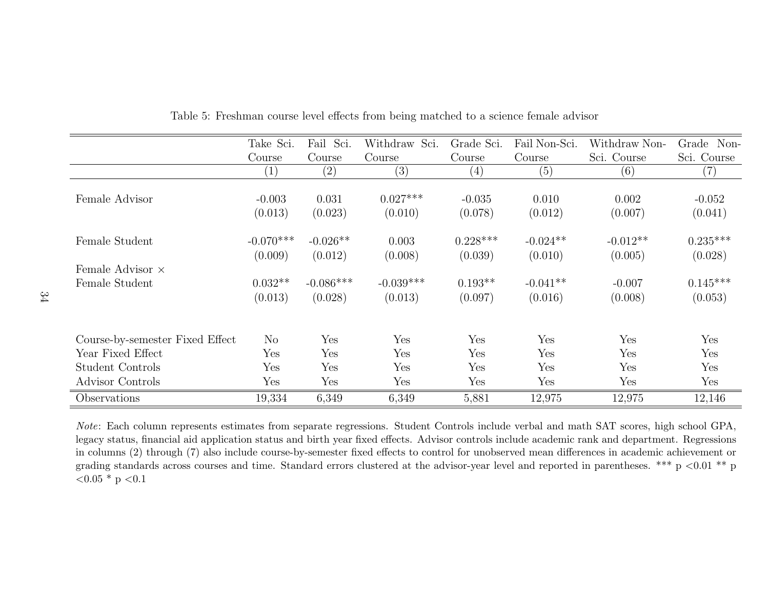|                                 | Take Sci.   | Fail Sci.   | Withdraw Sci. | Grade Sci.        | Fail Non-Sci. | Withdraw Non- | Grade Non-  |
|---------------------------------|-------------|-------------|---------------|-------------------|---------------|---------------|-------------|
|                                 | Course      | Course      | Course        | Course            | Course        | Sci. Course   | Sci. Course |
|                                 | (1)         | (2)         | (3)           | $\left( 4\right)$ | (5)           | (6)           | (7)         |
| Female Advisor                  | $-0.003$    | 0.031       | $0.027***$    | $-0.035$          | 0.010         | 0.002         | $-0.052$    |
|                                 | (0.013)     | (0.023)     | (0.010)       | (0.078)           | (0.012)       | (0.007)       | (0.041)     |
| Female Student                  | $-0.070***$ | $-0.026**$  | 0.003         | $0.228***$        | $-0.024**$    | $-0.012**$    | $0.235***$  |
|                                 | (0.009)     | (0.012)     | (0.008)       | (0.039)           | (0.010)       | (0.005)       | (0.028)     |
| Female Advisor $\times$         |             |             |               |                   |               |               |             |
| Female Student                  | $0.032**$   | $-0.086***$ | $-0.039***$   | $0.193**$         | $-0.041**$    | $-0.007$      | $0.145***$  |
|                                 | (0.013)     | (0.028)     | (0.013)       | (0.097)           | (0.016)       | (0.008)       | (0.053)     |
|                                 |             |             |               |                   |               |               |             |
| Course-by-semester Fixed Effect | $\rm No$    | Yes         | Yes           | Yes               | Yes           | Yes           | Yes         |
| Year Fixed Effect               | Yes         | Yes         | Yes           | Yes               | Yes           | Yes           | Yes         |
| Student Controls                | Yes         | Yes         | Yes           | Yes               | Yes           | Yes           | Yes         |
| Advisor Controls                | Yes         | Yes         | Yes           | Yes               | Yes           | Yes           | Yes         |
| Observations                    | 19,334      | 6,349       | 6,349         | 5,881             | 12,975        | 12,975        | 12,146      |

Table 5: Freshman course level effects from being matched to <sup>a</sup> science female advisor

Note: Each column represents estimates from separate regressions. Student Controls include verbal and math SAT scores, high school GPA,legacy status, financial aid application status and birth year fixed effects. Advisor controls include academic rank and department. Regressions in columns (2) through (7) also include course-by-semester fixed effects to control for unobserved mean differences in academic achievement orgrading standards across courses and time. Standard errors clustered at the advisor-year level and reported in parentheses. \*\*\* p <0.01 \*\* p  $<$  0.05  $^*$  p  $<$  0.1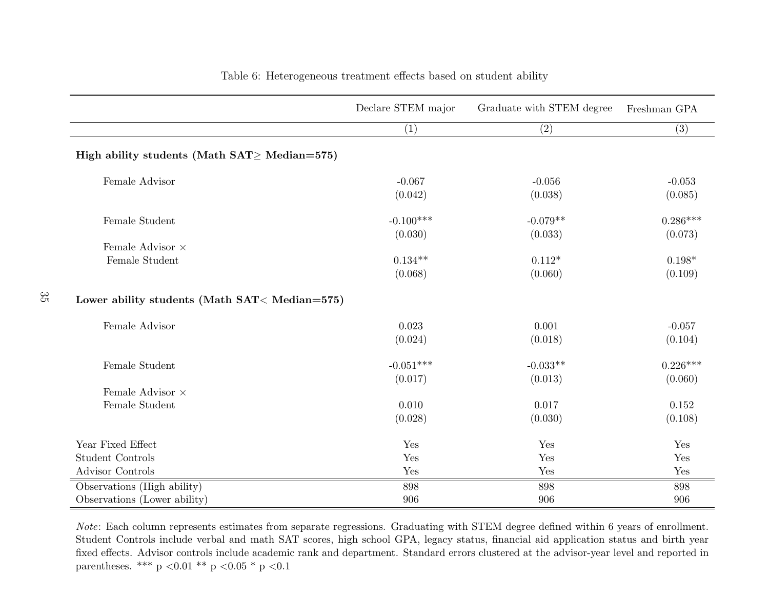|                                                       | Declare STEM major | Graduate with STEM degree | Freshman GPA |
|-------------------------------------------------------|--------------------|---------------------------|--------------|
|                                                       | (1)                | (2)                       | (3)          |
| High ability students (Math $SAT \geq Median = 575$ ) |                    |                           |              |
| Female Advisor                                        | $-0.067$           | $-0.056$                  | $-0.053$     |
|                                                       | (0.042)            | (0.038)                   | (0.085)      |
| Female Student                                        | $-0.100***$        | $-0.079**$                | $0.286***$   |
|                                                       | (0.030)            | (0.033)                   | (0.073)      |
| Female Advisor $\times$                               |                    |                           |              |
| Female Student                                        | $0.134**$          | $0.112*$                  | $0.198*$     |
|                                                       | (0.068)            | (0.060)                   | (0.109)      |
| Lower ability students (Math SAT< Median=575)         |                    |                           |              |
| Female Advisor                                        | 0.023              | 0.001                     | $-0.057$     |
|                                                       | (0.024)            | (0.018)                   | (0.104)      |
| Female Student                                        | $-0.051***$        | $-0.033**$                | $0.226***$   |
|                                                       | (0.017)            | (0.013)                   | (0.060)      |
| Female Advisor $\times$                               |                    |                           |              |
| Female Student                                        | 0.010              | 0.017                     | 0.152        |
|                                                       | (0.028)            | (0.030)                   | (0.108)      |
| Year Fixed Effect                                     | Yes                | Yes                       | Yes          |
| <b>Student Controls</b>                               | Yes                | Yes                       | Yes          |
| <b>Advisor Controls</b>                               | Yes                | Yes                       | Yes          |
| Observations (High ability)                           | 898                | 898                       | 898          |
| Observations (Lower ability)                          | 906                | 906                       | 906          |

 $\frac{3}{5}$ 

#### Table 6: Heterogeneous treatment effects based on student ability

Note: Each column represents estimates from separate regressions. Graduating with STEM degree defined within 6 years of enrollment. Student Controls include verbal and math SAT scores, high school GPA, legacy status, financial aid application status and birth year fixed effects. Advisor controls include academic rank and department. Standard errors clustered at the advisor-year level and reported inparentheses. \*\*\* p  $< 0.01$  \*\* p  $< 0.05$  \* p  $< 0.1$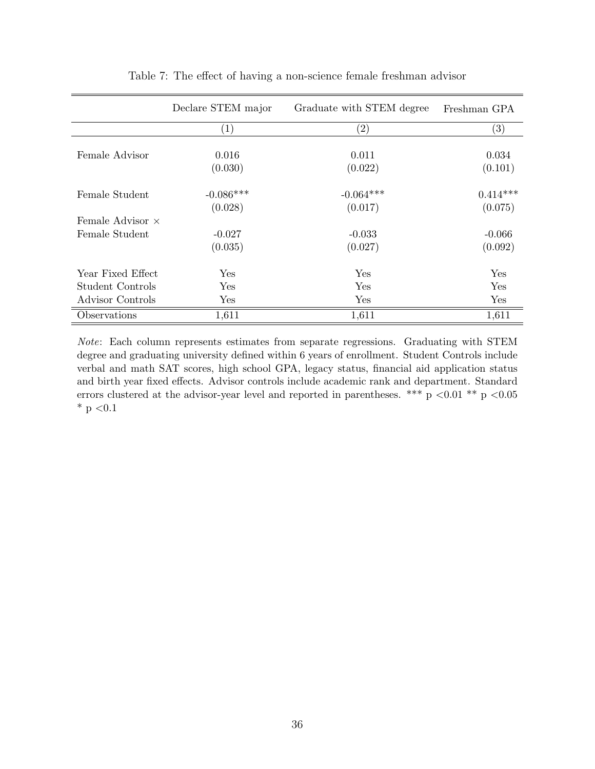|                         | Declare STEM major | Graduate with STEM degree | Freshman GPA      |
|-------------------------|--------------------|---------------------------|-------------------|
|                         | $\left( 1\right)$  | $\left( 2\right)$         | $\left( 3\right)$ |
|                         |                    |                           |                   |
| Female Advisor          | 0.016              | 0.011                     | 0.034             |
|                         | (0.030)            | (0.022)                   | (0.101)           |
| Female Student          | $-0.086***$        | $-0.064***$               | $0.414***$        |
|                         | (0.028)            | (0.017)                   | (0.075)           |
| Female Advisor $\times$ |                    |                           |                   |
| Female Student          | $-0.027$           | $-0.033$                  | $-0.066$          |
|                         | (0.035)            | (0.027)                   | (0.092)           |
| Year Fixed Effect       | Yes                | Yes                       | Yes               |
| Student Controls        | Yes                | Yes                       | Yes               |
| Advisor Controls        | Yes                | Yes                       | Yes               |
| Observations            | 1,611              | 1,611                     | 1,611             |

Table 7: The effect of having a non-science female freshman advisor

Note: Each column represents estimates from separate regressions. Graduating with STEM degree and graduating university defined within 6 years of enrollment. Student Controls include verbal and math SAT scores, high school GPA, legacy status, financial aid application status and birth year fixed effects. Advisor controls include academic rank and department. Standard errors clustered at the advisor-year level and reported in parentheses. \*\*\* p <0.01 \*\* p <0.05  $*$  p  $< 0.1$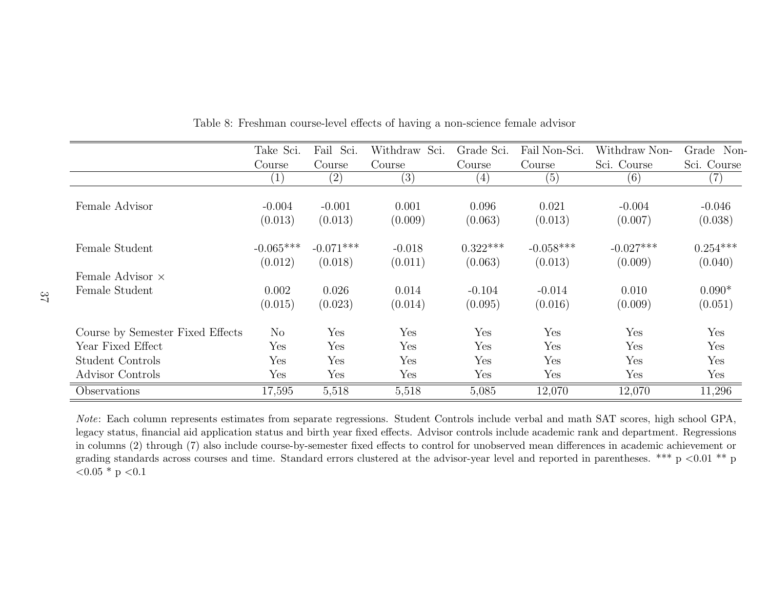|                                  | Take Sci.              | Fail Sci.              | Withdraw Sci.       | Grade Sci.            | Fail Non-Sci.          | Withdraw Non-          | Grade<br>Non-         |
|----------------------------------|------------------------|------------------------|---------------------|-----------------------|------------------------|------------------------|-----------------------|
|                                  | Course                 | Course                 | Course              | Course                | Course                 | Sci. Course            | Sci. Course           |
|                                  | (1)                    | (2)                    | (3)                 | $\left( 4\right)$     | (5)                    | (6)                    | $\left( 7\right)$     |
| Female Advisor                   | $-0.004$<br>(0.013)    | $-0.001$<br>(0.013)    | 0.001<br>(0.009)    | 0.096<br>(0.063)      | 0.021<br>(0.013)       | $-0.004$<br>(0.007)    | $-0.046$<br>(0.038)   |
| Female Student                   | $-0.065***$<br>(0.012) | $-0.071***$<br>(0.018) | $-0.018$<br>(0.011) | $0.322***$<br>(0.063) | $-0.058***$<br>(0.013) | $-0.027***$<br>(0.009) | $0.254***$<br>(0.040) |
| Female Advisor $\times$          |                        |                        |                     |                       |                        |                        |                       |
| Female Student                   | 0.002                  | 0.026                  | 0.014               | $-0.104$              | $-0.014$               | 0.010                  | $0.090*$              |
|                                  | (0.015)                | (0.023)                | (0.014)             | (0.095)               | (0.016)                | (0.009)                | (0.051)               |
| Course by Semester Fixed Effects | No                     | Yes                    | Yes                 | Yes                   | Yes                    | Yes                    | Yes                   |
| Year Fixed Effect                | Yes                    | Yes                    | Yes                 | Yes                   | Yes                    | Yes                    | Yes                   |
| Student Controls                 | Yes                    | Yes                    | Yes                 | Yes                   | Yes                    | Yes                    | Yes                   |
| Advisor Controls                 | Yes                    | Yes                    | Yes                 | Yes                   | Yes                    | Yes                    | Yes                   |
| Observations                     | 17,595                 | 5,518                  | 5,518               | 5,085                 | 12,070                 | 12,070                 | 11,296                |

Table 8: Freshman course-level effects of having <sup>a</sup> non-science female advisor

Note: Each column represents estimates from separate regressions. Student Controls include verbal and math SAT scores, high school GPA, legacy status, financial aid application status and birth year fixed effects. Advisor controls include academic rank and department. Regressions in columns (2) through (7) also include course-by-semester fixed effects to control for unobserved mean differences in academic achievement orgrading standards across courses and time. Standard errors clustered at the advisor-year level and reported in parentheses. \*\*\*  $p < 0.01$  \*\* p  ${<}0.05$  \* p  ${<}0.1$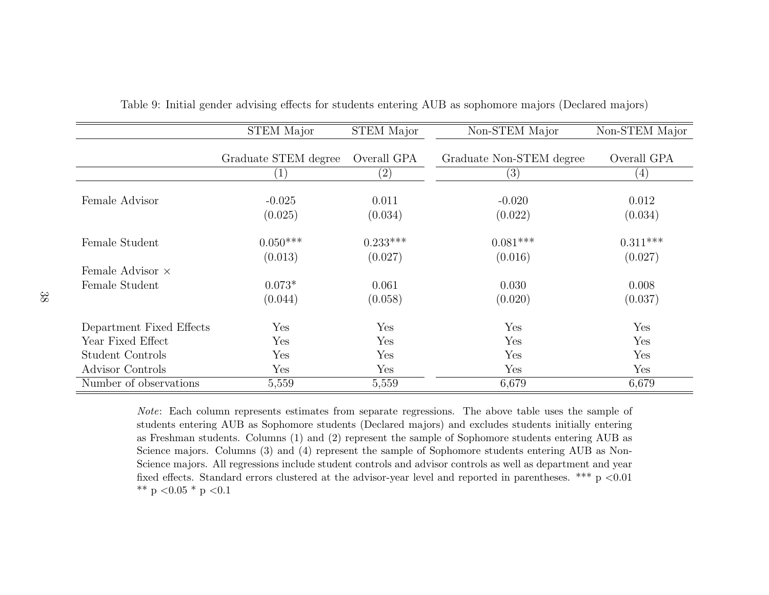|                          | <b>STEM Major</b>     | <b>STEM Major</b>     | Non-STEM Major           | Non-STEM Major        |
|--------------------------|-----------------------|-----------------------|--------------------------|-----------------------|
|                          | Graduate STEM degree  | Overall GPA           | Graduate Non-STEM degree | Overall GPA           |
|                          | $\left  \right $      | $\left( 2\right)$     | (3)                      | (4)                   |
| Female Advisor           | $-0.025$<br>(0.025)   | 0.011<br>(0.034)      | $-0.020$<br>(0.022)      | 0.012<br>(0.034)      |
| Female Student           | $0.050***$<br>(0.013) | $0.233***$<br>(0.027) | $0.081***$<br>(0.016)    | $0.311***$<br>(0.027) |
| Female Advisor $\times$  |                       |                       |                          |                       |
| Female Student           | $0.073*$<br>(0.044)   | 0.061<br>(0.058)      | 0.030<br>(0.020)         | 0.008<br>(0.037)      |
| Department Fixed Effects | Yes                   | Yes                   | Yes                      | Yes                   |
| Year Fixed Effect        | Yes                   | Yes                   | Yes                      | Yes                   |
| Student Controls         | Yes                   | Yes                   | Yes                      | Yes                   |
| Advisor Controls         | Yes                   | Yes                   | Yes                      | Yes                   |
| Number of observations   | 5,559                 | 5,559                 | 6,679                    | 6,679                 |

Table 9: Initial gender advising effects for students entering AUB as sophomore majors (Declared majors)

Note: Each column represents estimates from separate regressions. The above table uses the sample of students entering AUB as Sophomore students (Declared majors) and excludes students initially entering as Freshman students. Columns (1) and (2) represent the sample of Sophomore students entering AUB asScience majors. Columns (3) and (4) represent the sample of Sophomore students entering AUB as Non-Science majors. All regressions include student controls and advisor controls as well as department and yearfixed effects. Standard errors clustered at the advisor-year level and reported in parentheses. \*\*\* p <0.01 \*\* p  $<$  0.05 \* p  $<$  0.1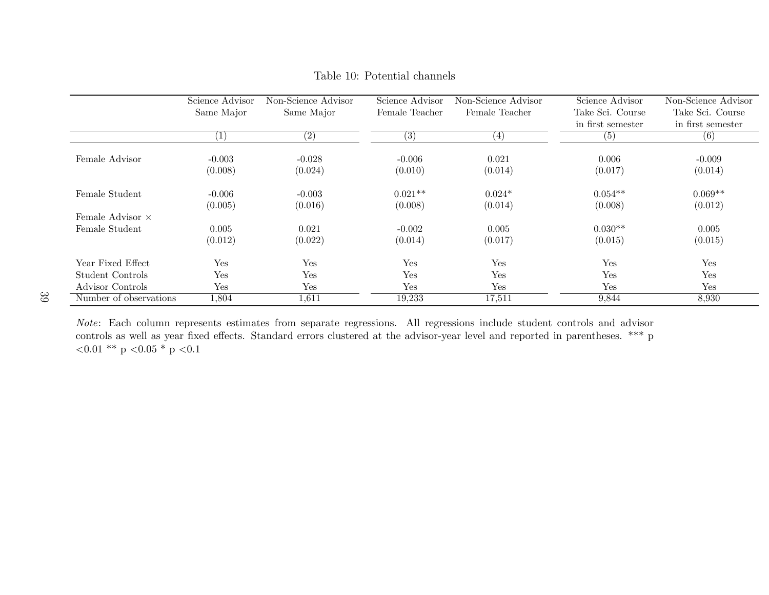|                         | Science Advisor   | Non-Science Advisor | Science Advisor   | Non-Science Advisor | Science Advisor   | Non-Science Advisor |
|-------------------------|-------------------|---------------------|-------------------|---------------------|-------------------|---------------------|
|                         | Same Major        | Same Major          | Female Teacher    | Female Teacher      | Take Sci. Course  | Take Sci. Course    |
|                         |                   |                     |                   |                     | in first semester | in first semester   |
|                         | $\left( 1\right)$ | $\overline{(2)}$    | $\left( 3\right)$ | $\left(4\right)$    | (5)               | (6)                 |
|                         |                   |                     |                   |                     |                   |                     |
| Female Advisor          | $-0.003$          | $-0.028$            | $-0.006$          | 0.021               | 0.006             | $-0.009$            |
|                         | (0.008)           | (0.024)             | (0.010)           | (0.014)             | (0.017)           | (0.014)             |
| Female Student          | $-0.006$          | $-0.003$            | $0.021**$         | $0.024*$            | $0.054**$         | $0.069**$           |
|                         | (0.005)           | (0.016)             | (0.008)           | (0.014)             | (0.008)           | (0.012)             |
| Female Advisor $\times$ |                   |                     |                   |                     |                   |                     |
| Female Student          | 0.005             | 0.021               | $-0.002$          | 0.005               | $0.030**$         | 0.005               |
|                         | (0.012)           | (0.022)             | (0.014)           | (0.017)             | (0.015)           | (0.015)             |
| Year Fixed Effect       | Yes               | Yes                 | Yes               | Yes                 | Yes               | Yes                 |
| Student Controls        | Yes               | Yes                 | Yes               | Yes                 | Yes               | Yes                 |
| Advisor Controls        | Yes               | Yes                 | Yes               | Yes                 | Yes               | Yes                 |
|                         |                   |                     |                   |                     |                   |                     |
| Number of observations  | 1,804             | 1,611               | 19,233            | 17,511              | 9,844             | 8,930               |

Table 10: Potential channels

Note: Each column represents estimates from separate regressions. All regressions include student controls and advisor controls as well as year fixed effects. Standard errors clustered at the advisor-year level and reported in parentheses. \*\*\* <sup>p</sup> $<$ 0.01 \*\* p  $<$ 0.05 \* p  $<$ 0.1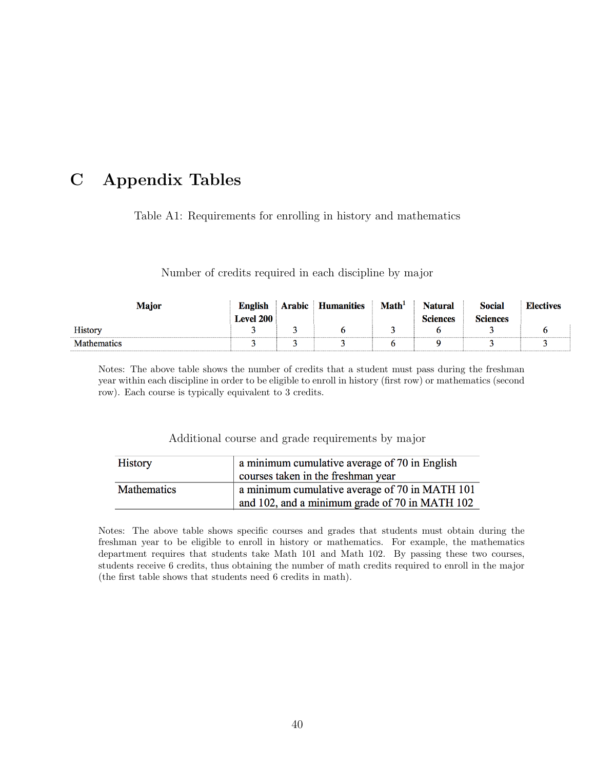# C Appendix Tables

Table A1: Requirements for enrolling in history and mathematics

Number of credits required in each discipline by major

| <b>Major</b>       | <b>English</b> | Arabic | <b>Humanities</b> | $\mathbf{Math}^1$ | <b>Natural</b>  | <b>Social</b>   | <b>Electives</b> |
|--------------------|----------------|--------|-------------------|-------------------|-----------------|-----------------|------------------|
|                    | Level 200      |        |                   |                   | <b>Sciences</b> | <b>Sciences</b> |                  |
| <b>History</b>     |                |        |                   |                   |                 |                 |                  |
| <b>Mathematics</b> |                |        |                   |                   |                 |                 |                  |

Notes: The above table shows the number of credits that a student must pass during the freshman year within each discipline in order to be eligible to enroll in history (first row) or mathematics (second row). Each course is typically equivalent to 3 credits.

Additional course and grade requirements by major

| <b>History</b> | a minimum cumulative average of 70 in English  |
|----------------|------------------------------------------------|
|                | courses taken in the freshman year             |
| Mathematics    | a minimum cumulative average of 70 in MATH 101 |
|                | and 102, and a minimum grade of 70 in MATH 102 |

Notes: The above table shows specific courses and grades that students must obtain during the freshman year to be eligible to enroll in history or mathematics. For example, the mathematics department requires that students take Math 101 and Math 102. By passing these two courses, students receive 6 credits, thus obtaining the number of math credits required to enroll in the major (the first table shows that students need 6 credits in math).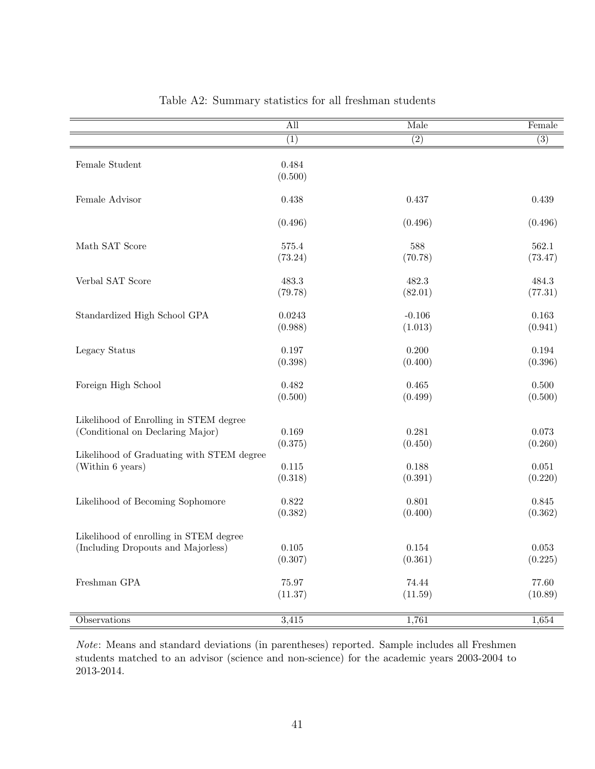|                                                 | $\overline{All}$ | Male     | Female           |
|-------------------------------------------------|------------------|----------|------------------|
|                                                 | (1)              | (2)      | $\overline{(3)}$ |
| Female Student                                  | 0.484            |          |                  |
|                                                 | (0.500)          |          |                  |
| Female Advisor                                  | 0.438            | 0.437    | 0.439            |
|                                                 | (0.496)          | (0.496)  | (0.496)          |
| Math SAT Score                                  | 575.4            | 588      | 562.1            |
|                                                 | (73.24)          | (70.78)  | (73.47)          |
| Verbal SAT Score                                | 483.3            | 482.3    | 484.3            |
|                                                 | (79.78)          | (82.01)  | (77.31)          |
| Standardized High School GPA                    | 0.0243           | $-0.106$ | $\,0.163\,$      |
|                                                 | (0.988)          | (1.013)  | (0.941)          |
| Legacy Status                                   | 0.197            | 0.200    | $\,0.194\,$      |
|                                                 | (0.398)          | (0.400)  | (0.396)          |
| Foreign High School                             | 0.482            | 0.465    | $0.500\,$        |
|                                                 | (0.500)          | (0.499)  | (0.500)          |
| Likelihood of Enrolling in STEM degree          |                  |          |                  |
| (Conditional on Declaring Major)                | $0.169\,$        | 0.281    | 0.073            |
|                                                 | (0.375)          | (0.450)  | (0.260)          |
| Likelihood of Graduating with STEM degree       |                  |          |                  |
| (Within 6 years)                                | $0.115\,$        | 0.188    | $0.051\,$        |
|                                                 | (0.318)          | (0.391)  | (0.220)          |
| Likelihood of Becoming Sophomore                | 0.822            | 0.801    | $0.845\,$        |
|                                                 | (0.382)          | (0.400)  | (0.362)          |
| Likelihood of enrolling in STEM degree          |                  |          |                  |
| $(\hbox{Including \;Dropouts and \;Majorless})$ | 0.105            | 0.154    | 0.053            |
|                                                 | (0.307)          | (0.361)  | (0.225)          |
| $\operatorname{Freshman}$ GPA                   | 75.97            | 74.44    | 77.60            |
|                                                 | (11.37)          | (11.59)  | (10.89)          |
| <b>Observations</b>                             | 3,415            | 1,761    | 1,654            |
|                                                 |                  |          |                  |

Table A2: Summary statistics for all freshman students

Note: Means and standard deviations (in parentheses) reported. Sample includes all Freshmen students matched to an advisor (science and non-science) for the academic years 2003-2004 to 2013-2014.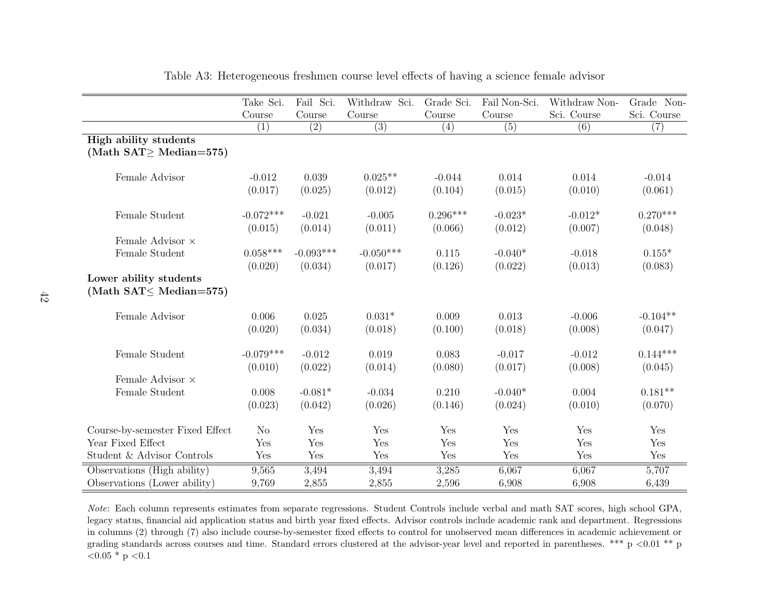|                                                           | Take Sci.      | Fail Sci.   | Withdraw Sci. | Grade Sci. | Fail Non-Sci. | Withdraw Non- | Grade Non-  |
|-----------------------------------------------------------|----------------|-------------|---------------|------------|---------------|---------------|-------------|
|                                                           | Course         | Course      | Course        | Course     | Course        | Sci. Course   | Sci. Course |
|                                                           | (1)            | (2)         | (3)           | (4)        | (5)           | (6)           | (7)         |
| <b>High ability students</b>                              |                |             |               |            |               |               |             |
| (Math $SAT \geq Median = 575$ )                           |                |             |               |            |               |               |             |
| Female Advisor                                            | $-0.012$       | 0.039       | $0.025**$     | $-0.044$   | 0.014         | 0.014         | $-0.014$    |
|                                                           | (0.017)        | (0.025)     | (0.012)       | (0.104)    | (0.015)       | (0.010)       | (0.061)     |
| Female Student                                            | $-0.072***$    | $-0.021$    | $-0.005$      | $0.296***$ | $-0.023*$     | $-0.012*$     | $0.270***$  |
|                                                           | (0.015)        | (0.014)     | (0.011)       | (0.066)    | (0.012)       | (0.007)       | (0.048)     |
| Female Advisor $\times$                                   |                |             |               |            |               |               |             |
| Female Student                                            | $0.058***$     | $-0.093***$ | $-0.050***$   | 0.115      | $-0.040*$     | $-0.018$      | $0.155*$    |
|                                                           | (0.020)        | (0.034)     | (0.017)       | (0.126)    | (0.022)       | (0.013)       | (0.083)     |
| Lower ability students<br>(Math $SAT \leq Median = 575$ ) |                |             |               |            |               |               |             |
| Female Advisor                                            | 0.006          | 0.025       | $0.031*$      | 0.009      | 0.013         | $-0.006$      | $-0.104**$  |
|                                                           | (0.020)        | (0.034)     | (0.018)       | (0.100)    | (0.018)       | (0.008)       | (0.047)     |
| Female Student                                            | $-0.079***$    | $-0.012$    | 0.019         | 0.083      | $-0.017$      | $-0.012$      | $0.144***$  |
|                                                           | (0.010)        | (0.022)     | (0.014)       | (0.080)    | (0.017)       | (0.008)       | (0.045)     |
| Female Advisor $\times$                                   |                |             |               |            |               |               |             |
| Female Student                                            | 0.008          | $-0.081*$   | $-0.034$      | 0.210      | $-0.040*$     | 0.004         | $0.181**$   |
|                                                           | (0.023)        | (0.042)     | (0.026)       | (0.146)    | (0.024)       | (0.010)       | (0.070)     |
| Course-by-semester Fixed Effect                           | N <sub>o</sub> | Yes         | Yes           | Yes        | Yes           | Yes           | Yes         |
| Year Fixed Effect                                         | Yes            | Yes         | Yes           | Yes        | Yes           | Yes           | Yes         |
| Student & Advisor Controls                                | Yes            | Yes         | Yes           | Yes        | Yes           | Yes           | Yes         |
| Observations (High ability)                               | 9,565          | 3,494       | 3,494         | 3,285      | 6,067         | 6,067         | 5,707       |
| Observations (Lower ability)                              | 9,769          | 2,855       | 2,855         | 2,596      | 6,908         | 6,908         | 6,439       |

Table A3: Heterogeneous freshmen course level effects of having <sup>a</sup> science female advisor

Note: Each column represents estimates from separate regressions. Student Controls include verbal and math SAT scores, high school GPA, legacy status, financial aid application status and birth year fixed effects. Advisor controls include academic rank and department. Regressions in columns (2) through (7) also include course-by-semester fixed effects to control for unobserved mean differences in academic achievement orgrading standards across courses and time. Standard errors clustered at the advisor-year level and reported in parentheses. \*\*\* p <0.01 \*\* p  ${<}0.05$  \* p  ${<}0.1$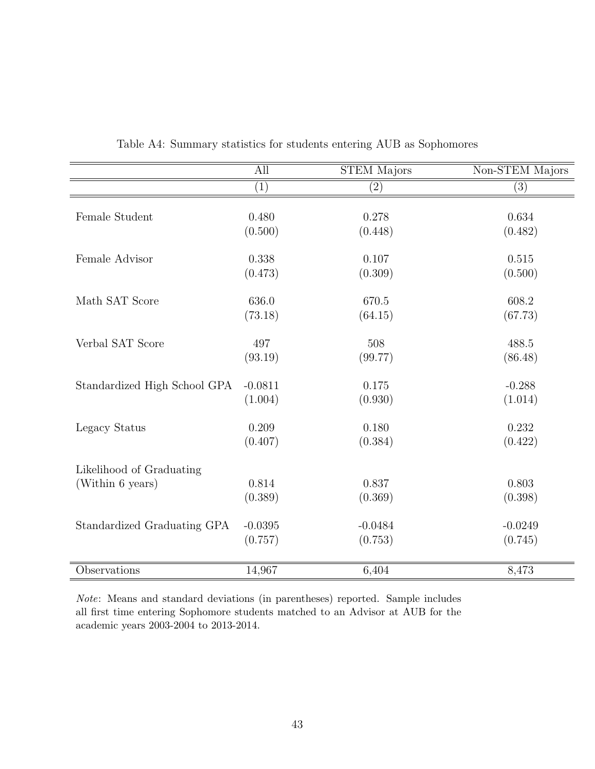|                              | All                  | <b>STEM Majors</b>   | Non-STEM Majors      |
|------------------------------|----------------------|----------------------|----------------------|
|                              | (1)                  | $\left( 2\right)$    | (3)                  |
|                              |                      |                      |                      |
| Female Student               | 0.480                | 0.278                | 0.634                |
|                              | (0.500)              | (0.448)              | (0.482)              |
| Female Advisor               | 0.338                | 0.107                | 0.515                |
|                              | (0.473)              | (0.309)              | (0.500)              |
| Math SAT Score               | 636.0                | 670.5                | 608.2                |
|                              | (73.18)              | (64.15)              | (67.73)              |
|                              |                      |                      |                      |
| Verbal SAT Score             | 497                  | 508                  | 488.5                |
|                              | (93.19)              | (99.77)              | (86.48)              |
| Standardized High School GPA | $-0.0811$            | 0.175                | $-0.288$             |
|                              | (1.004)              | (0.930)              | (1.014)              |
| Legacy Status                | 0.209                | 0.180                | 0.232                |
|                              | (0.407)              | (0.384)              | (0.422)              |
| Likelihood of Graduating     |                      |                      |                      |
| (Within 6 years)             | 0.814                | 0.837                | 0.803                |
|                              | (0.389)              | (0.369)              | (0.398)              |
|                              |                      |                      |                      |
| Standardized Graduating GPA  | $-0.0395$<br>(0.757) | $-0.0484$<br>(0.753) | $-0.0249$<br>(0.745) |
|                              |                      |                      |                      |
| Observations                 | 14,967               | 6,404                | 8,473                |

Table A4: Summary statistics for students entering AUB as Sophomores

Note: Means and standard deviations (in parentheses) reported. Sample includes all first time entering Sophomore students matched to an Advisor at AUB for the academic years 2003-2004 to 2013-2014.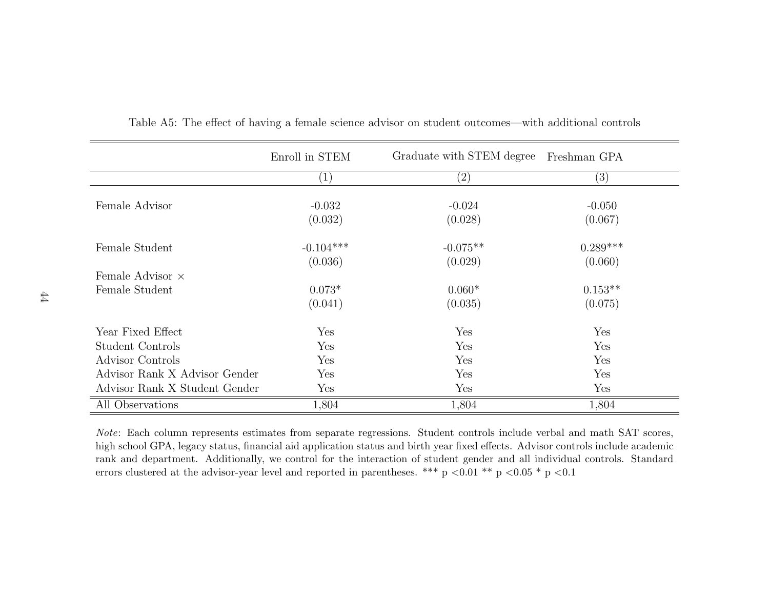|                               | Enroll in STEM    | Graduate with STEM degree | Freshman GPA |
|-------------------------------|-------------------|---------------------------|--------------|
|                               | $\left( 1\right)$ | $\left( 2\right)$         | (3)          |
| Female Advisor                | $-0.032$          | $-0.024$                  | $-0.050$     |
|                               | (0.032)           | (0.028)                   | (0.067)      |
| Female Student                | $-0.104***$       | $-0.075**$                | $0.289***$   |
|                               | (0.036)           | (0.029)                   | (0.060)      |
| Female Advisor $\times$       |                   |                           |              |
| Female Student                | $0.073*$          | $0.060*$                  | $0.153**$    |
|                               | (0.041)           | (0.035)                   | (0.075)      |
| Year Fixed Effect             | Yes               | Yes                       | Yes          |
| Student Controls              | Yes               | Yes                       | Yes          |
| Advisor Controls              | Yes               | Yes                       | Yes          |
| Advisor Rank X Advisor Gender | Yes               | Yes                       | Yes          |
| Advisor Rank X Student Gender | Yes               | Yes                       | Yes          |
| All Observations              | 1,804             | 1,804                     | 1,804        |

Table A5: The effect of having <sup>a</sup> female science advisor on student outcomes—with additional controls

Note: Each column represents estimates from separate regressions. Student controls include verbal and math SAT scores,high school GPA, legacy status, financial aid application status and birth year fixed effects. Advisor controls include academic rank and department. Additionally, we control for the interaction of student gender and all individual controls. Standarderrors clustered at the advisor-year level and reported in parentheses. \*\*\* p  $\lt 0.01$  \*\* p  $\lt 0.05$  \* p  $\lt 0.1$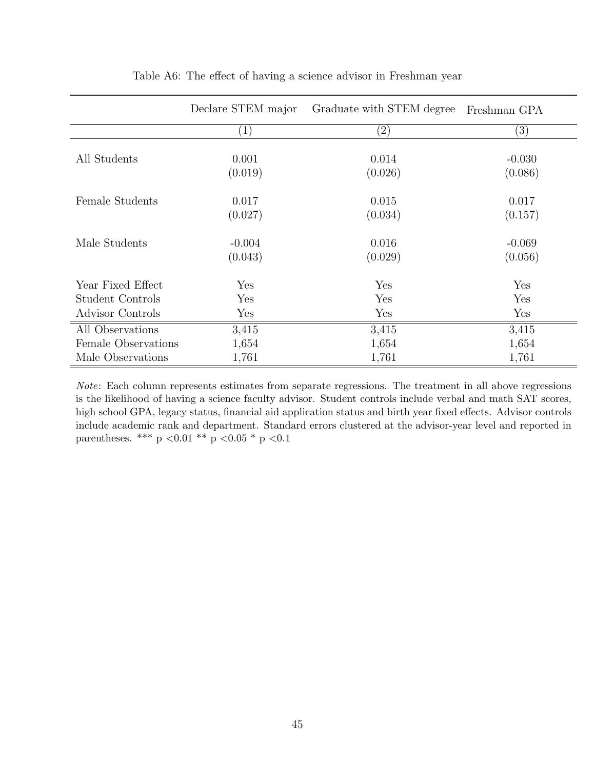|                     | Declare STEM major | Graduate with STEM degree<br>Freshman GPA |          |
|---------------------|--------------------|-------------------------------------------|----------|
|                     | $\left( 1\right)$  | $\left( 2\right)$                         | (3)      |
|                     |                    |                                           |          |
| All Students        | 0.001              | 0.014                                     | $-0.030$ |
|                     | (0.019)            | (0.026)                                   | (0.086)  |
| Female Students     | 0.017              | 0.015                                     | 0.017    |
|                     |                    |                                           |          |
|                     | (0.027)            | (0.034)                                   | (0.157)  |
| Male Students       | $-0.004$           | 0.016                                     | $-0.069$ |
|                     | (0.043)            | (0.029)                                   | (0.056)  |
| Year Fixed Effect   | Yes                | Yes                                       | Yes      |
|                     |                    |                                           |          |
| Student Controls    | Yes                | Yes                                       | Yes      |
| Advisor Controls    | Yes                | Yes                                       | Yes      |
| All Observations    | 3,415              | 3,415                                     | 3,415    |
| Female Observations | 1,654              | 1,654                                     | 1,654    |
| Male Observations   | 1,761              | 1,761                                     | 1,761    |

#### Table A6: The effect of having a science advisor in Freshman year

Note: Each column represents estimates from separate regressions. The treatment in all above regressions is the likelihood of having a science faculty advisor. Student controls include verbal and math SAT scores, high school GPA, legacy status, financial aid application status and birth year fixed effects. Advisor controls include academic rank and department. Standard errors clustered at the advisor-year level and reported in parentheses. \*\*\* p <0.01 \*\* p <0.05 \* p <0.1